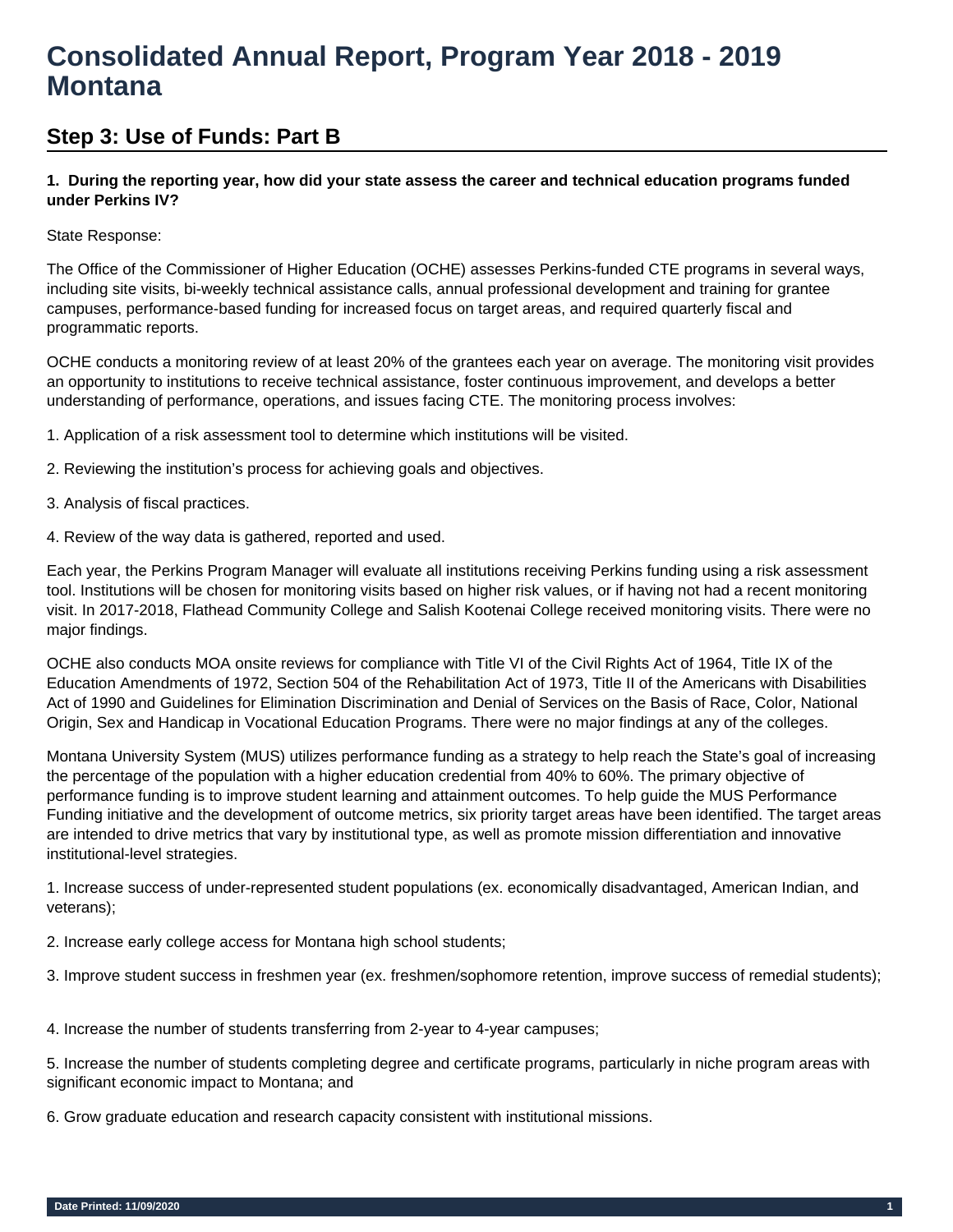# **Consolidated Annual Report, Program Year 2018 - 2019 Montana**

## **Step 3: Use of Funds: Part B**

## **1. During the reporting year, how did your state assess the career and technical education programs funded under Perkins IV?**

## State Response:

The Office of the Commissioner of Higher Education (OCHE) assesses Perkins-funded CTE programs in several ways, including site visits, bi-weekly technical assistance calls, annual professional development and training for grantee campuses, performance-based funding for increased focus on target areas, and required quarterly fiscal and programmatic reports.

OCHE conducts a monitoring review of at least 20% of the grantees each year on average. The monitoring visit provides an opportunity to institutions to receive technical assistance, foster continuous improvement, and develops a better understanding of performance, operations, and issues facing CTE. The monitoring process involves:

1. Application of a risk assessment tool to determine which institutions will be visited.

- 2. Reviewing the institution's process for achieving goals and objectives.
- 3. Analysis of fiscal practices.
- 4. Review of the way data is gathered, reported and used.

Each year, the Perkins Program Manager will evaluate all institutions receiving Perkins funding using a risk assessment tool. Institutions will be chosen for monitoring visits based on higher risk values, or if having not had a recent monitoring visit. In 2017-2018, Flathead Community College and Salish Kootenai College received monitoring visits. There were no major findings.

OCHE also conducts MOA onsite reviews for compliance with Title VI of the Civil Rights Act of 1964, Title IX of the Education Amendments of 1972, Section 504 of the Rehabilitation Act of 1973, Title II of the Americans with Disabilities Act of 1990 and Guidelines for Elimination Discrimination and Denial of Services on the Basis of Race, Color, National Origin, Sex and Handicap in Vocational Education Programs. There were no major findings at any of the colleges.

Montana University System (MUS) utilizes performance funding as a strategy to help reach the State's goal of increasing the percentage of the population with a higher education credential from 40% to 60%. The primary objective of performance funding is to improve student learning and attainment outcomes. To help guide the MUS Performance Funding initiative and the development of outcome metrics, six priority target areas have been identified. The target areas are intended to drive metrics that vary by institutional type, as well as promote mission differentiation and innovative institutional-level strategies.

1. Increase success of under-represented student populations (ex. economically disadvantaged, American Indian, and veterans);

2. Increase early college access for Montana high school students;

3. Improve student success in freshmen year (ex. freshmen/sophomore retention, improve success of remedial students);

4. Increase the number of students transferring from 2-year to 4-year campuses;

5. Increase the number of students completing degree and certificate programs, particularly in niche program areas with significant economic impact to Montana; and

6. Grow graduate education and research capacity consistent with institutional missions.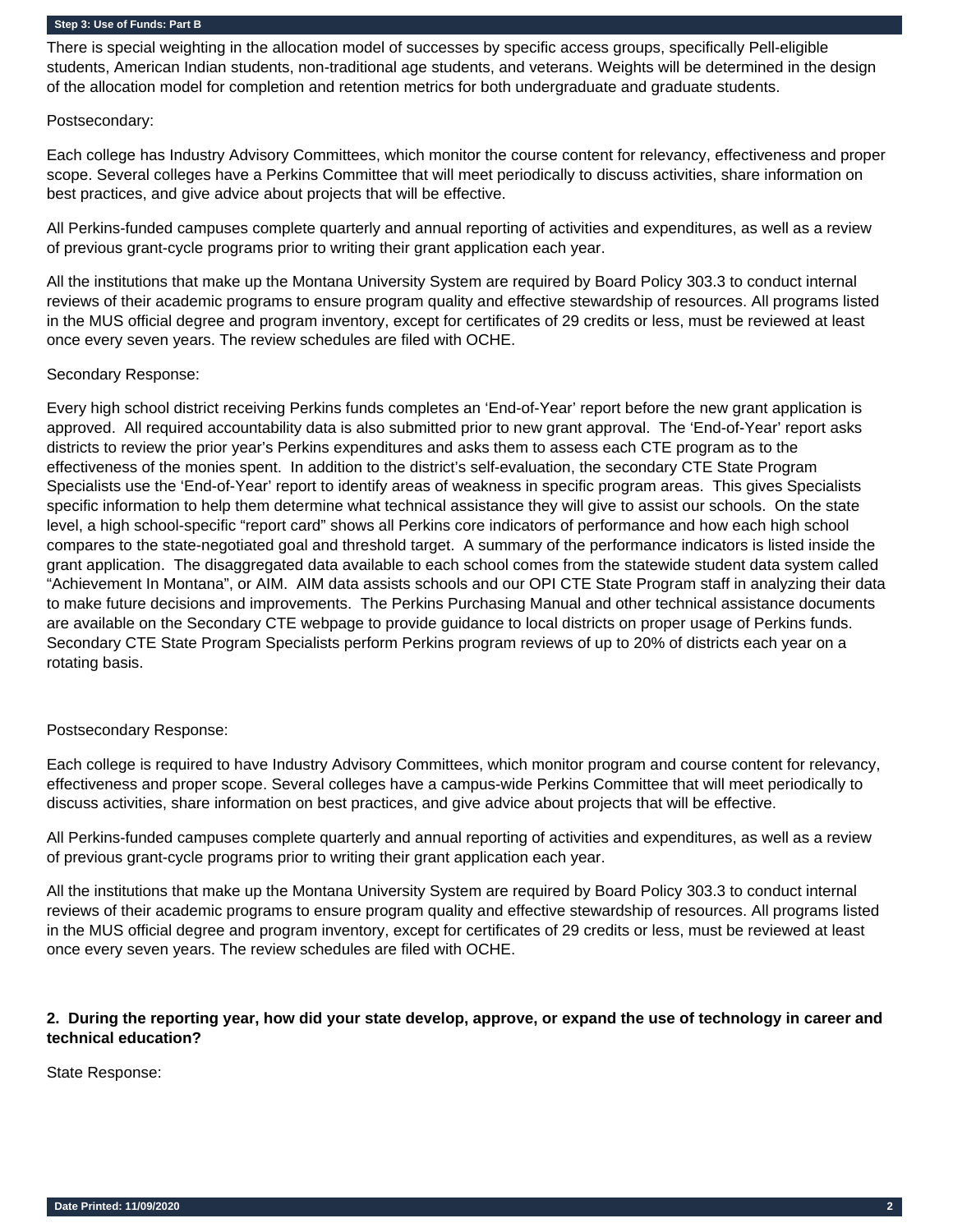There is special weighting in the allocation model of successes by specific access groups, specifically Pell-eligible students, American Indian students, non-traditional age students, and veterans. Weights will be determined in the design of the allocation model for completion and retention metrics for both undergraduate and graduate students.

#### Postsecondary:

Each college has Industry Advisory Committees, which monitor the course content for relevancy, effectiveness and proper scope. Several colleges have a Perkins Committee that will meet periodically to discuss activities, share information on best practices, and give advice about projects that will be effective.

All Perkins-funded campuses complete quarterly and annual reporting of activities and expenditures, as well as a review of previous grant-cycle programs prior to writing their grant application each year.

All the institutions that make up the Montana University System are required by Board Policy 303.3 to conduct internal reviews of their academic programs to ensure program quality and effective stewardship of resources. All programs listed in the MUS official degree and program inventory, except for certificates of 29 credits or less, must be reviewed at least once every seven years. The review schedules are filed with OCHE.

#### Secondary Response:

Every high school district receiving Perkins funds completes an 'End-of-Year' report before the new grant application is approved. All required accountability data is also submitted prior to new grant approval. The 'End-of-Year' report asks districts to review the prior year's Perkins expenditures and asks them to assess each CTE program as to the effectiveness of the monies spent. In addition to the district's self-evaluation, the secondary CTE State Program Specialists use the 'End-of-Year' report to identify areas of weakness in specific program areas. This gives Specialists specific information to help them determine what technical assistance they will give to assist our schools. On the state level, a high school-specific "report card" shows all Perkins core indicators of performance and how each high school compares to the state-negotiated goal and threshold target. A summary of the performance indicators is listed inside the grant application. The disaggregated data available to each school comes from the statewide student data system called "Achievement In Montana", or AIM. AIM data assists schools and our OPI CTE State Program staff in analyzing their data to make future decisions and improvements. The Perkins Purchasing Manual and other technical assistance documents are available on the Secondary CTE webpage to provide guidance to local districts on proper usage of Perkins funds. Secondary CTE State Program Specialists perform Perkins program reviews of up to 20% of districts each year on a rotating basis.

#### Postsecondary Response:

Each college is required to have Industry Advisory Committees, which monitor program and course content for relevancy, effectiveness and proper scope. Several colleges have a campus-wide Perkins Committee that will meet periodically to discuss activities, share information on best practices, and give advice about projects that will be effective.

All Perkins-funded campuses complete quarterly and annual reporting of activities and expenditures, as well as a review of previous grant-cycle programs prior to writing their grant application each year.

All the institutions that make up the Montana University System are required by Board Policy 303.3 to conduct internal reviews of their academic programs to ensure program quality and effective stewardship of resources. All programs listed in the MUS official degree and program inventory, except for certificates of 29 credits or less, must be reviewed at least once every seven years. The review schedules are filed with OCHE.

## **2. During the reporting year, how did your state develop, approve, or expand the use of technology in career and technical education?**

#### State Response: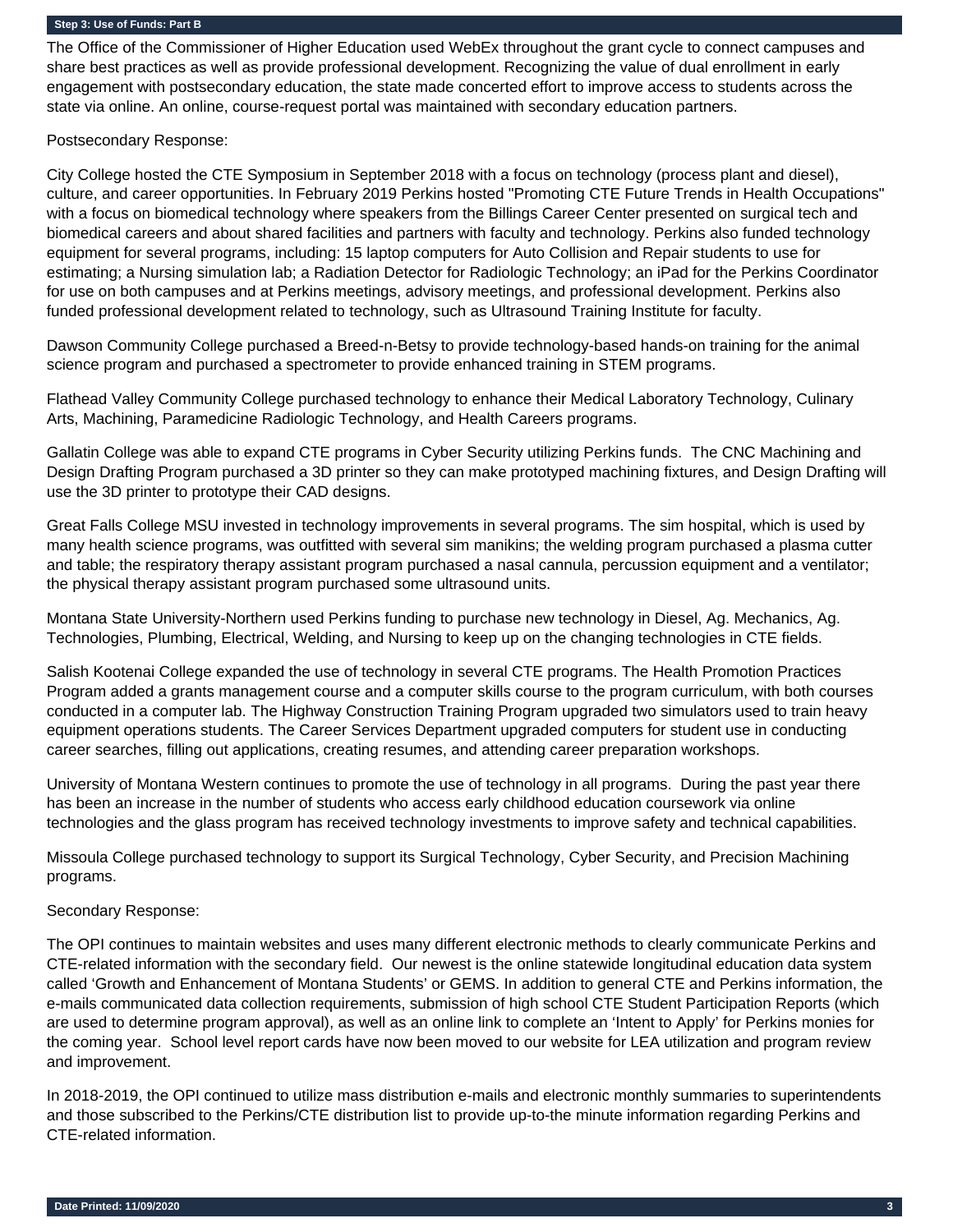The Office of the Commissioner of Higher Education used WebEx throughout the grant cycle to connect campuses and share best practices as well as provide professional development. Recognizing the value of dual enrollment in early engagement with postsecondary education, the state made concerted effort to improve access to students across the state via online. An online, course-request portal was maintained with secondary education partners.

Postsecondary Response:

City College hosted the CTE Symposium in September 2018 with a focus on technology (process plant and diesel), culture, and career opportunities. In February 2019 Perkins hosted "Promoting CTE Future Trends in Health Occupations" with a focus on biomedical technology where speakers from the Billings Career Center presented on surgical tech and biomedical careers and about shared facilities and partners with faculty and technology. Perkins also funded technology equipment for several programs, including: 15 laptop computers for Auto Collision and Repair students to use for estimating; a Nursing simulation lab; a Radiation Detector for Radiologic Technology; an iPad for the Perkins Coordinator for use on both campuses and at Perkins meetings, advisory meetings, and professional development. Perkins also funded professional development related to technology, such as Ultrasound Training Institute for faculty.

Dawson Community College purchased a Breed-n-Betsy to provide technology-based hands-on training for the animal science program and purchased a spectrometer to provide enhanced training in STEM programs.

Flathead Valley Community College purchased technology to enhance their Medical Laboratory Technology, Culinary Arts, Machining, Paramedicine Radiologic Technology, and Health Careers programs.

Gallatin College was able to expand CTE programs in Cyber Security utilizing Perkins funds. The CNC Machining and Design Drafting Program purchased a 3D printer so they can make prototyped machining fixtures, and Design Drafting will use the 3D printer to prototype their CAD designs.

Great Falls College MSU invested in technology improvements in several programs. The sim hospital, which is used by many health science programs, was outfitted with several sim manikins; the welding program purchased a plasma cutter and table; the respiratory therapy assistant program purchased a nasal cannula, percussion equipment and a ventilator; the physical therapy assistant program purchased some ultrasound units.

Montana State University-Northern used Perkins funding to purchase new technology in Diesel, Ag. Mechanics, Ag. Technologies, Plumbing, Electrical, Welding, and Nursing to keep up on the changing technologies in CTE fields.

Salish Kootenai College expanded the use of technology in several CTE programs. The Health Promotion Practices Program added a grants management course and a computer skills course to the program curriculum, with both courses conducted in a computer lab. The Highway Construction Training Program upgraded two simulators used to train heavy equipment operations students. The Career Services Department upgraded computers for student use in conducting career searches, filling out applications, creating resumes, and attending career preparation workshops.

University of Montana Western continues to promote the use of technology in all programs. During the past year there has been an increase in the number of students who access early childhood education coursework via online technologies and the glass program has received technology investments to improve safety and technical capabilities.

Missoula College purchased technology to support its Surgical Technology, Cyber Security, and Precision Machining programs.

#### Secondary Response:

The OPI continues to maintain websites and uses many different electronic methods to clearly communicate Perkins and CTE-related information with the secondary field. Our newest is the online statewide longitudinal education data system called 'Growth and Enhancement of Montana Students' or GEMS. In addition to general CTE and Perkins information, the e-mails communicated data collection requirements, submission of high school CTE Student Participation Reports (which are used to determine program approval), as well as an online link to complete an 'Intent to Apply' for Perkins monies for the coming year. School level report cards have now been moved to our website for LEA utilization and program review and improvement.

In 2018-2019, the OPI continued to utilize mass distribution e-mails and electronic monthly summaries to superintendents and those subscribed to the Perkins/CTE distribution list to provide up-to-the minute information regarding Perkins and CTE-related information.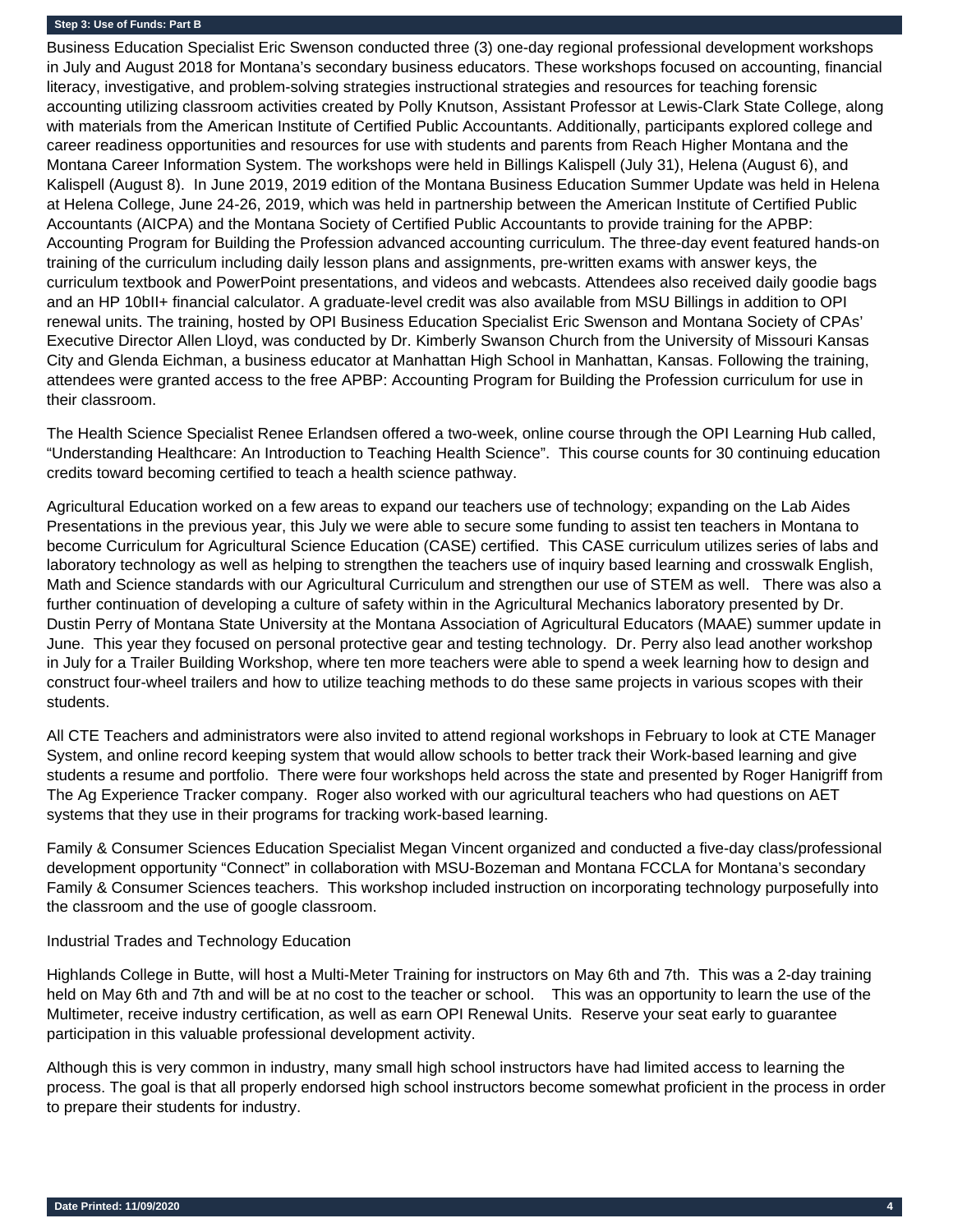Business Education Specialist Eric Swenson conducted three (3) one-day regional professional development workshops in July and August 2018 for Montana's secondary business educators. These workshops focused on accounting, financial literacy, investigative, and problem-solving strategies instructional strategies and resources for teaching forensic accounting utilizing classroom activities created by Polly Knutson, Assistant Professor at Lewis-Clark State College, along with materials from the American Institute of Certified Public Accountants. Additionally, participants explored college and career readiness opportunities and resources for use with students and parents from Reach Higher Montana and the Montana Career Information System. The workshops were held in Billings Kalispell (July 31), Helena (August 6), and Kalispell (August 8). In June 2019, 2019 edition of the Montana Business Education Summer Update was held in Helena at Helena College, June 24-26, 2019, which was held in partnership between the American Institute of Certified Public Accountants (AICPA) and the Montana Society of Certified Public Accountants to provide training for the APBP: Accounting Program for Building the Profession advanced accounting curriculum. The three-day event featured hands-on training of the curriculum including daily lesson plans and assignments, pre-written exams with answer keys, the curriculum textbook and PowerPoint presentations, and videos and webcasts. Attendees also received daily goodie bags and an HP 10bII+ financial calculator. A graduate-level credit was also available from MSU Billings in addition to OPI renewal units. The training, hosted by OPI Business Education Specialist Eric Swenson and Montana Society of CPAs' Executive Director Allen Lloyd, was conducted by Dr. Kimberly Swanson Church from the University of Missouri Kansas City and Glenda Eichman, a business educator at Manhattan High School in Manhattan, Kansas. Following the training, attendees were granted access to the free APBP: Accounting Program for Building the Profession curriculum for use in their classroom.

The Health Science Specialist Renee Erlandsen offered a two-week, online course through the OPI Learning Hub called, "Understanding Healthcare: An Introduction to Teaching Health Science". This course counts for 30 continuing education credits toward becoming certified to teach a health science pathway.

Agricultural Education worked on a few areas to expand our teachers use of technology; expanding on the Lab Aides Presentations in the previous year, this July we were able to secure some funding to assist ten teachers in Montana to become Curriculum for Agricultural Science Education (CASE) certified. This CASE curriculum utilizes series of labs and laboratory technology as well as helping to strengthen the teachers use of inquiry based learning and crosswalk English, Math and Science standards with our Agricultural Curriculum and strengthen our use of STEM as well. There was also a further continuation of developing a culture of safety within in the Agricultural Mechanics laboratory presented by Dr. Dustin Perry of Montana State University at the Montana Association of Agricultural Educators (MAAE) summer update in June. This year they focused on personal protective gear and testing technology. Dr. Perry also lead another workshop in July for a Trailer Building Workshop, where ten more teachers were able to spend a week learning how to design and construct four-wheel trailers and how to utilize teaching methods to do these same projects in various scopes with their students.

All CTE Teachers and administrators were also invited to attend regional workshops in February to look at CTE Manager System, and online record keeping system that would allow schools to better track their Work-based learning and give students a resume and portfolio. There were four workshops held across the state and presented by Roger Hanigriff from The Ag Experience Tracker company. Roger also worked with our agricultural teachers who had questions on AET systems that they use in their programs for tracking work-based learning.

Family & Consumer Sciences Education Specialist Megan Vincent organized and conducted a five-day class/professional development opportunity "Connect" in collaboration with MSU-Bozeman and Montana FCCLA for Montana's secondary Family & Consumer Sciences teachers. This workshop included instruction on incorporating technology purposefully into the classroom and the use of google classroom.

#### Industrial Trades and Technology Education

Highlands College in Butte, will host a Multi-Meter Training for instructors on May 6th and 7th. This was a 2-day training held on May 6th and 7th and will be at no cost to the teacher or school. This was an opportunity to learn the use of the Multimeter, receive industry certification, as well as earn OPI Renewal Units. Reserve your seat early to guarantee participation in this valuable professional development activity.

Although this is very common in industry, many small high school instructors have had limited access to learning the process. The goal is that all properly endorsed high school instructors become somewhat proficient in the process in order to prepare their students for industry.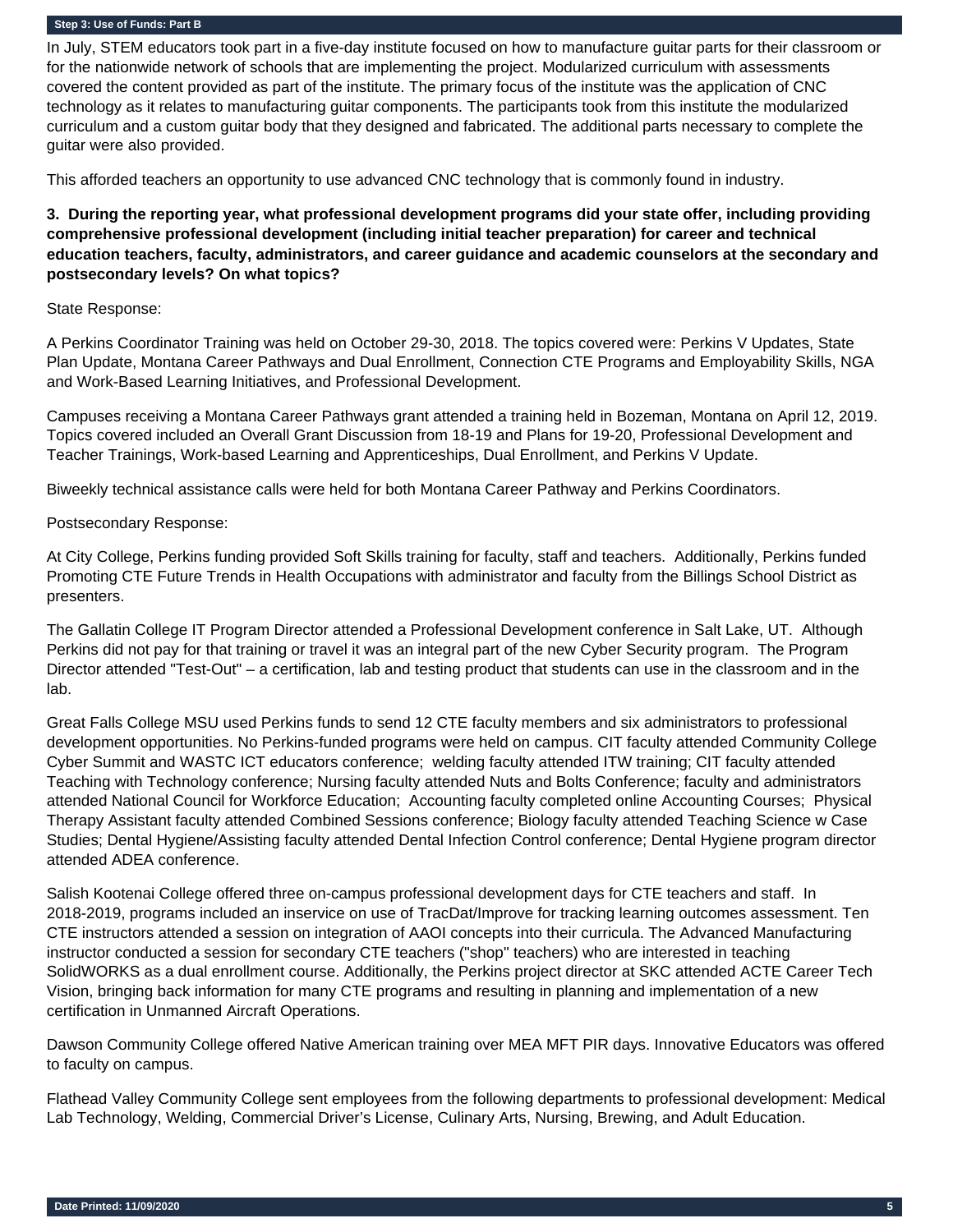In July, STEM educators took part in a five-day institute focused on how to manufacture guitar parts for their classroom or for the nationwide network of schools that are implementing the project. Modularized curriculum with assessments covered the content provided as part of the institute. The primary focus of the institute was the application of CNC technology as it relates to manufacturing guitar components. The participants took from this institute the modularized curriculum and a custom guitar body that they designed and fabricated. The additional parts necessary to complete the guitar were also provided.

This afforded teachers an opportunity to use advanced CNC technology that is commonly found in industry.

**3. During the reporting year, what professional development programs did your state offer, including providing comprehensive professional development (including initial teacher preparation) for career and technical education teachers, faculty, administrators, and career guidance and academic counselors at the secondary and postsecondary levels? On what topics?** 

#### State Response:

A Perkins Coordinator Training was held on October 29-30, 2018. The topics covered were: Perkins V Updates, State Plan Update, Montana Career Pathways and Dual Enrollment, Connection CTE Programs and Employability Skills, NGA and Work-Based Learning Initiatives, and Professional Development.

Campuses receiving a Montana Career Pathways grant attended a training held in Bozeman, Montana on April 12, 2019. Topics covered included an Overall Grant Discussion from 18-19 and Plans for 19-20, Professional Development and Teacher Trainings, Work-based Learning and Apprenticeships, Dual Enrollment, and Perkins V Update.

Biweekly technical assistance calls were held for both Montana Career Pathway and Perkins Coordinators.

#### Postsecondary Response:

At City College, Perkins funding provided Soft Skills training for faculty, staff and teachers. Additionally, Perkins funded Promoting CTE Future Trends in Health Occupations with administrator and faculty from the Billings School District as presenters.

The Gallatin College IT Program Director attended a Professional Development conference in Salt Lake, UT. Although Perkins did not pay for that training or travel it was an integral part of the new Cyber Security program. The Program Director attended "Test-Out" – a certification, lab and testing product that students can use in the classroom and in the lab.

Great Falls College MSU used Perkins funds to send 12 CTE faculty members and six administrators to professional development opportunities. No Perkins-funded programs were held on campus. CIT faculty attended Community College Cyber Summit and WASTC ICT educators conference; welding faculty attended ITW training; CIT faculty attended Teaching with Technology conference; Nursing faculty attended Nuts and Bolts Conference; faculty and administrators attended National Council for Workforce Education; Accounting faculty completed online Accounting Courses; Physical Therapy Assistant faculty attended Combined Sessions conference; Biology faculty attended Teaching Science w Case Studies; Dental Hygiene/Assisting faculty attended Dental Infection Control conference; Dental Hygiene program director attended ADEA conference.

Salish Kootenai College offered three on-campus professional development days for CTE teachers and staff. In 2018-2019, programs included an inservice on use of TracDat/Improve for tracking learning outcomes assessment. Ten CTE instructors attended a session on integration of AAOI concepts into their curricula. The Advanced Manufacturing instructor conducted a session for secondary CTE teachers ("shop" teachers) who are interested in teaching SolidWORKS as a dual enrollment course. Additionally, the Perkins project director at SKC attended ACTE Career Tech Vision, bringing back information for many CTE programs and resulting in planning and implementation of a new certification in Unmanned Aircraft Operations.

Dawson Community College offered Native American training over MEA MFT PIR days. Innovative Educators was offered to faculty on campus.

Flathead Valley Community College sent employees from the following departments to professional development: Medical Lab Technology, Welding, Commercial Driver's License, Culinary Arts, Nursing, Brewing, and Adult Education.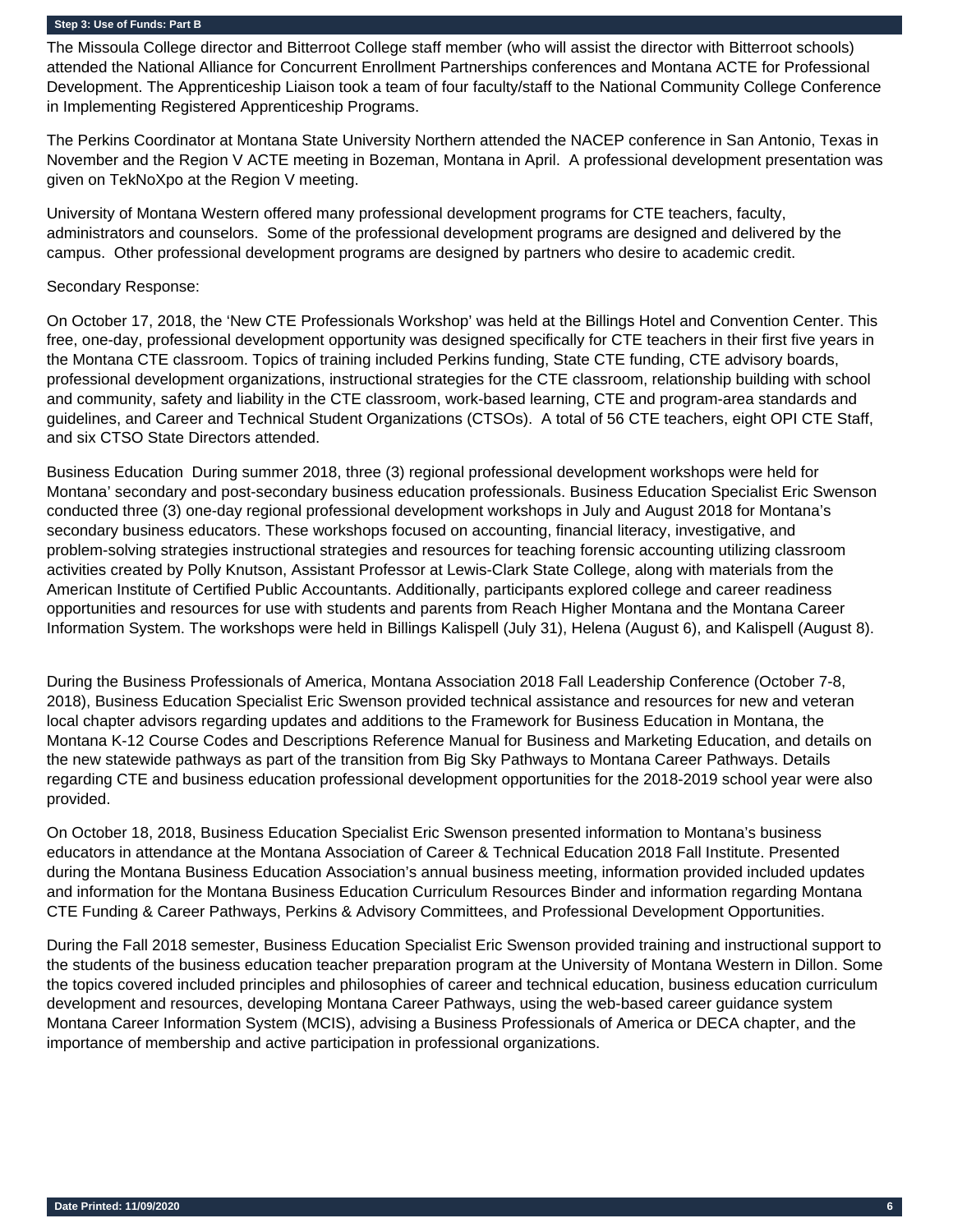The Missoula College director and Bitterroot College staff member (who will assist the director with Bitterroot schools) attended the National Alliance for Concurrent Enrollment Partnerships conferences and Montana ACTE for Professional Development. The Apprenticeship Liaison took a team of four faculty/staff to the National Community College Conference in Implementing Registered Apprenticeship Programs.

The Perkins Coordinator at Montana State University Northern attended the NACEP conference in San Antonio, Texas in November and the Region V ACTE meeting in Bozeman, Montana in April. A professional development presentation was given on TekNoXpo at the Region V meeting.

University of Montana Western offered many professional development programs for CTE teachers, faculty, administrators and counselors. Some of the professional development programs are designed and delivered by the campus. Other professional development programs are designed by partners who desire to academic credit.

#### Secondary Response:

On October 17, 2018, the 'New CTE Professionals Workshop' was held at the Billings Hotel and Convention Center. This free, one-day, professional development opportunity was designed specifically for CTE teachers in their first five years in the Montana CTE classroom. Topics of training included Perkins funding, State CTE funding, CTE advisory boards, professional development organizations, instructional strategies for the CTE classroom, relationship building with school and community, safety and liability in the CTE classroom, work-based learning, CTE and program-area standards and guidelines, and Career and Technical Student Organizations (CTSOs). A total of 56 CTE teachers, eight OPI CTE Staff, and six CTSO State Directors attended.

Business Education During summer 2018, three (3) regional professional development workshops were held for Montana' secondary and post-secondary business education professionals. Business Education Specialist Eric Swenson conducted three (3) one-day regional professional development workshops in July and August 2018 for Montana's secondary business educators. These workshops focused on accounting, financial literacy, investigative, and problem-solving strategies instructional strategies and resources for teaching forensic accounting utilizing classroom activities created by Polly Knutson, Assistant Professor at Lewis-Clark State College, along with materials from the American Institute of Certified Public Accountants. Additionally, participants explored college and career readiness opportunities and resources for use with students and parents from Reach Higher Montana and the Montana Career Information System. The workshops were held in Billings Kalispell (July 31), Helena (August 6), and Kalispell (August 8).

During the Business Professionals of America, Montana Association 2018 Fall Leadership Conference (October 7-8, 2018), Business Education Specialist Eric Swenson provided technical assistance and resources for new and veteran local chapter advisors regarding updates and additions to the Framework for Business Education in Montana, the Montana K-12 Course Codes and Descriptions Reference Manual for Business and Marketing Education, and details on the new statewide pathways as part of the transition from Big Sky Pathways to Montana Career Pathways. Details regarding CTE and business education professional development opportunities for the 2018-2019 school year were also provided.

On October 18, 2018, Business Education Specialist Eric Swenson presented information to Montana's business educators in attendance at the Montana Association of Career & Technical Education 2018 Fall Institute. Presented during the Montana Business Education Association's annual business meeting, information provided included updates and information for the Montana Business Education Curriculum Resources Binder and information regarding Montana CTE Funding & Career Pathways, Perkins & Advisory Committees, and Professional Development Opportunities.

During the Fall 2018 semester, Business Education Specialist Eric Swenson provided training and instructional support to the students of the business education teacher preparation program at the University of Montana Western in Dillon. Some the topics covered included principles and philosophies of career and technical education, business education curriculum development and resources, developing Montana Career Pathways, using the web-based career guidance system Montana Career Information System (MCIS), advising a Business Professionals of America or DECA chapter, and the importance of membership and active participation in professional organizations.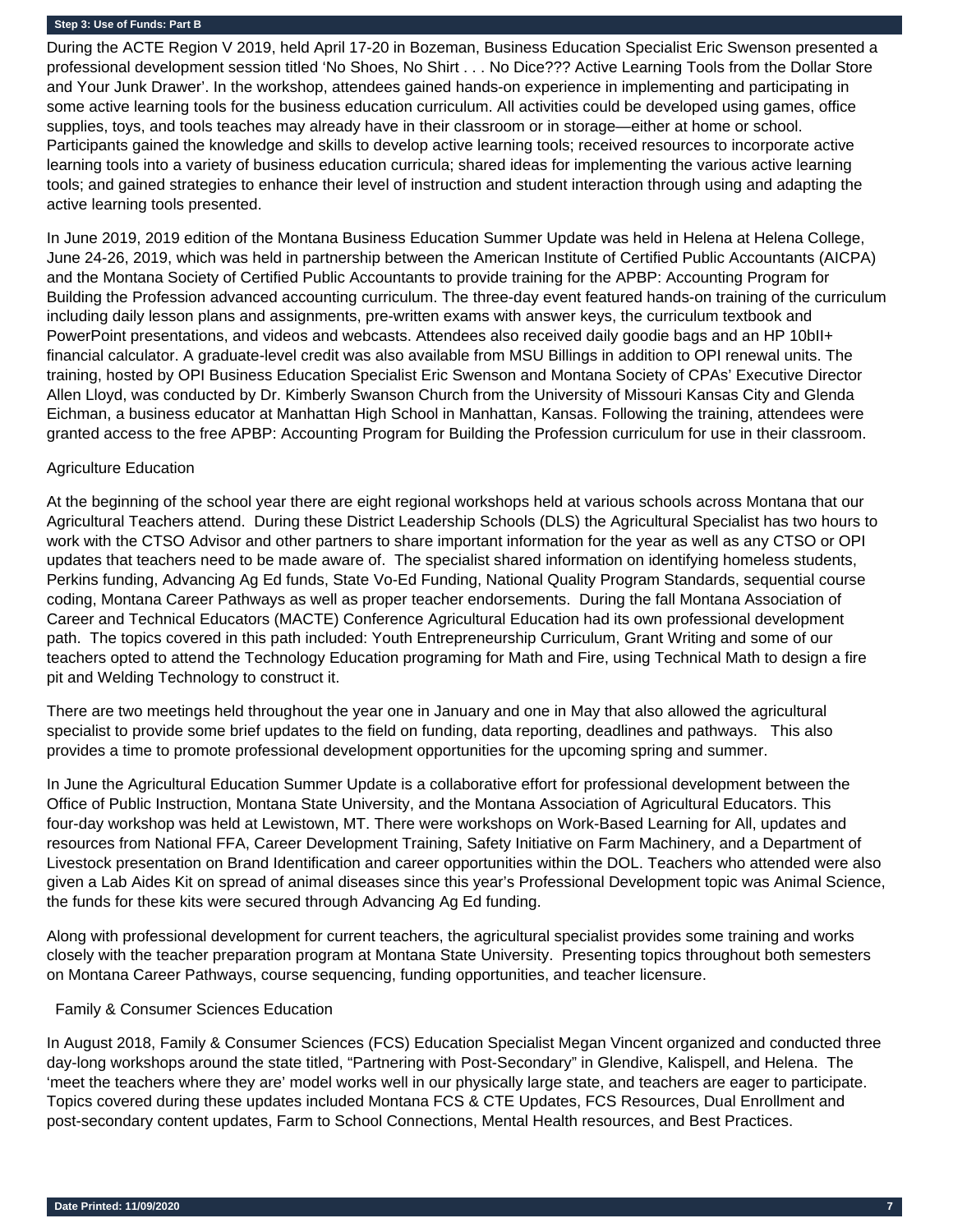During the ACTE Region V 2019, held April 17-20 in Bozeman, Business Education Specialist Eric Swenson presented a professional development session titled 'No Shoes, No Shirt . . . No Dice??? Active Learning Tools from the Dollar Store and Your Junk Drawer'. In the workshop, attendees gained hands-on experience in implementing and participating in some active learning tools for the business education curriculum. All activities could be developed using games, office supplies, toys, and tools teaches may already have in their classroom or in storage—either at home or school. Participants gained the knowledge and skills to develop active learning tools; received resources to incorporate active learning tools into a variety of business education curricula; shared ideas for implementing the various active learning tools; and gained strategies to enhance their level of instruction and student interaction through using and adapting the active learning tools presented.

In June 2019, 2019 edition of the Montana Business Education Summer Update was held in Helena at Helena College, June 24-26, 2019, which was held in partnership between the American Institute of Certified Public Accountants (AICPA) and the Montana Society of Certified Public Accountants to provide training for the APBP: Accounting Program for Building the Profession advanced accounting curriculum. The three-day event featured hands-on training of the curriculum including daily lesson plans and assignments, pre-written exams with answer keys, the curriculum textbook and PowerPoint presentations, and videos and webcasts. Attendees also received daily goodie bags and an HP 10bII+ financial calculator. A graduate-level credit was also available from MSU Billings in addition to OPI renewal units. The training, hosted by OPI Business Education Specialist Eric Swenson and Montana Society of CPAs' Executive Director Allen Lloyd, was conducted by Dr. Kimberly Swanson Church from the University of Missouri Kansas City and Glenda Eichman, a business educator at Manhattan High School in Manhattan, Kansas. Following the training, attendees were granted access to the free APBP: Accounting Program for Building the Profession curriculum for use in their classroom.

#### Agriculture Education

At the beginning of the school year there are eight regional workshops held at various schools across Montana that our Agricultural Teachers attend. During these District Leadership Schools (DLS) the Agricultural Specialist has two hours to work with the CTSO Advisor and other partners to share important information for the year as well as any CTSO or OPI updates that teachers need to be made aware of. The specialist shared information on identifying homeless students, Perkins funding, Advancing Ag Ed funds, State Vo-Ed Funding, National Quality Program Standards, sequential course coding, Montana Career Pathways as well as proper teacher endorsements. During the fall Montana Association of Career and Technical Educators (MACTE) Conference Agricultural Education had its own professional development path. The topics covered in this path included: Youth Entrepreneurship Curriculum, Grant Writing and some of our teachers opted to attend the Technology Education programing for Math and Fire, using Technical Math to design a fire pit and Welding Technology to construct it.

There are two meetings held throughout the year one in January and one in May that also allowed the agricultural specialist to provide some brief updates to the field on funding, data reporting, deadlines and pathways. This also provides a time to promote professional development opportunities for the upcoming spring and summer.

In June the Agricultural Education Summer Update is a collaborative effort for professional development between the Office of Public Instruction, Montana State University, and the Montana Association of Agricultural Educators. This four-day workshop was held at Lewistown, MT. There were workshops on Work-Based Learning for All, updates and resources from National FFA, Career Development Training, Safety Initiative on Farm Machinery, and a Department of Livestock presentation on Brand Identification and career opportunities within the DOL. Teachers who attended were also given a Lab Aides Kit on spread of animal diseases since this year's Professional Development topic was Animal Science, the funds for these kits were secured through Advancing Ag Ed funding.

Along with professional development for current teachers, the agricultural specialist provides some training and works closely with the teacher preparation program at Montana State University. Presenting topics throughout both semesters on Montana Career Pathways, course sequencing, funding opportunities, and teacher licensure.

#### Family & Consumer Sciences Education

In August 2018, Family & Consumer Sciences (FCS) Education Specialist Megan Vincent organized and conducted three day-long workshops around the state titled, "Partnering with Post-Secondary" in Glendive, Kalispell, and Helena. The 'meet the teachers where they are' model works well in our physically large state, and teachers are eager to participate. Topics covered during these updates included Montana FCS & CTE Updates, FCS Resources, Dual Enrollment and post-secondary content updates, Farm to School Connections, Mental Health resources, and Best Practices.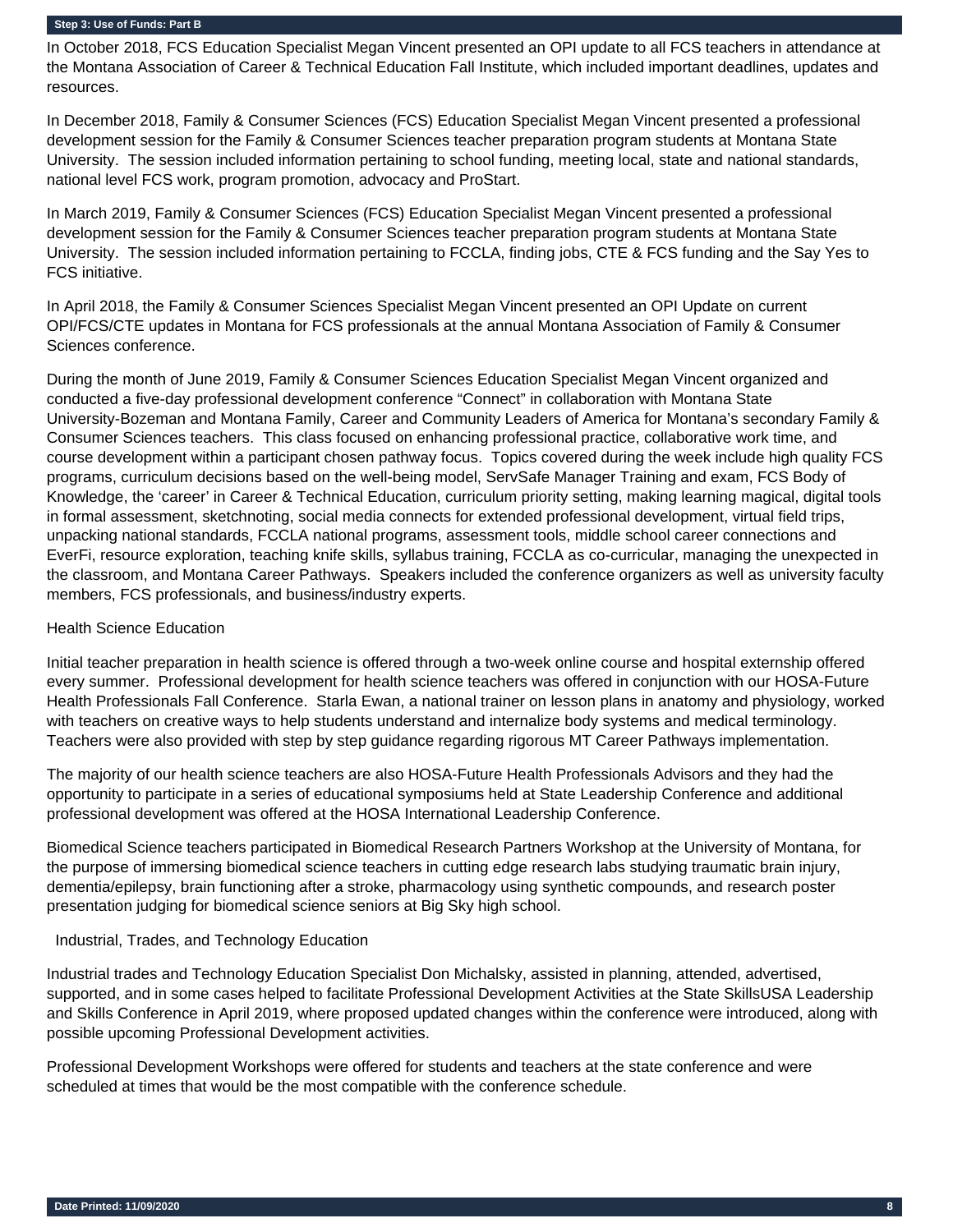In October 2018, FCS Education Specialist Megan Vincent presented an OPI update to all FCS teachers in attendance at the Montana Association of Career & Technical Education Fall Institute, which included important deadlines, updates and resources.

In December 2018, Family & Consumer Sciences (FCS) Education Specialist Megan Vincent presented a professional development session for the Family & Consumer Sciences teacher preparation program students at Montana State University. The session included information pertaining to school funding, meeting local, state and national standards, national level FCS work, program promotion, advocacy and ProStart.

In March 2019, Family & Consumer Sciences (FCS) Education Specialist Megan Vincent presented a professional development session for the Family & Consumer Sciences teacher preparation program students at Montana State University. The session included information pertaining to FCCLA, finding jobs, CTE & FCS funding and the Say Yes to FCS initiative.

In April 2018, the Family & Consumer Sciences Specialist Megan Vincent presented an OPI Update on current OPI/FCS/CTE updates in Montana for FCS professionals at the annual Montana Association of Family & Consumer Sciences conference.

During the month of June 2019, Family & Consumer Sciences Education Specialist Megan Vincent organized and conducted a five-day professional development conference "Connect" in collaboration with Montana State University-Bozeman and Montana Family, Career and Community Leaders of America for Montana's secondary Family & Consumer Sciences teachers. This class focused on enhancing professional practice, collaborative work time, and course development within a participant chosen pathway focus. Topics covered during the week include high quality FCS programs, curriculum decisions based on the well-being model, ServSafe Manager Training and exam, FCS Body of Knowledge, the 'career' in Career & Technical Education, curriculum priority setting, making learning magical, digital tools in formal assessment, sketchnoting, social media connects for extended professional development, virtual field trips, unpacking national standards, FCCLA national programs, assessment tools, middle school career connections and EverFi, resource exploration, teaching knife skills, syllabus training, FCCLA as co-curricular, managing the unexpected in the classroom, and Montana Career Pathways. Speakers included the conference organizers as well as university faculty members, FCS professionals, and business/industry experts.

#### Health Science Education

Initial teacher preparation in health science is offered through a two-week online course and hospital externship offered every summer. Professional development for health science teachers was offered in conjunction with our HOSA-Future Health Professionals Fall Conference. Starla Ewan, a national trainer on lesson plans in anatomy and physiology, worked with teachers on creative ways to help students understand and internalize body systems and medical terminology. Teachers were also provided with step by step guidance regarding rigorous MT Career Pathways implementation.

The majority of our health science teachers are also HOSA-Future Health Professionals Advisors and they had the opportunity to participate in a series of educational symposiums held at State Leadership Conference and additional professional development was offered at the HOSA International Leadership Conference.

Biomedical Science teachers participated in Biomedical Research Partners Workshop at the University of Montana, for the purpose of immersing biomedical science teachers in cutting edge research labs studying traumatic brain injury, dementia/epilepsy, brain functioning after a stroke, pharmacology using synthetic compounds, and research poster presentation judging for biomedical science seniors at Big Sky high school.

#### Industrial, Trades, and Technology Education

Industrial trades and Technology Education Specialist Don Michalsky, assisted in planning, attended, advertised, supported, and in some cases helped to facilitate Professional Development Activities at the State SkillsUSA Leadership and Skills Conference in April 2019, where proposed updated changes within the conference were introduced, along with possible upcoming Professional Development activities.

Professional Development Workshops were offered for students and teachers at the state conference and were scheduled at times that would be the most compatible with the conference schedule.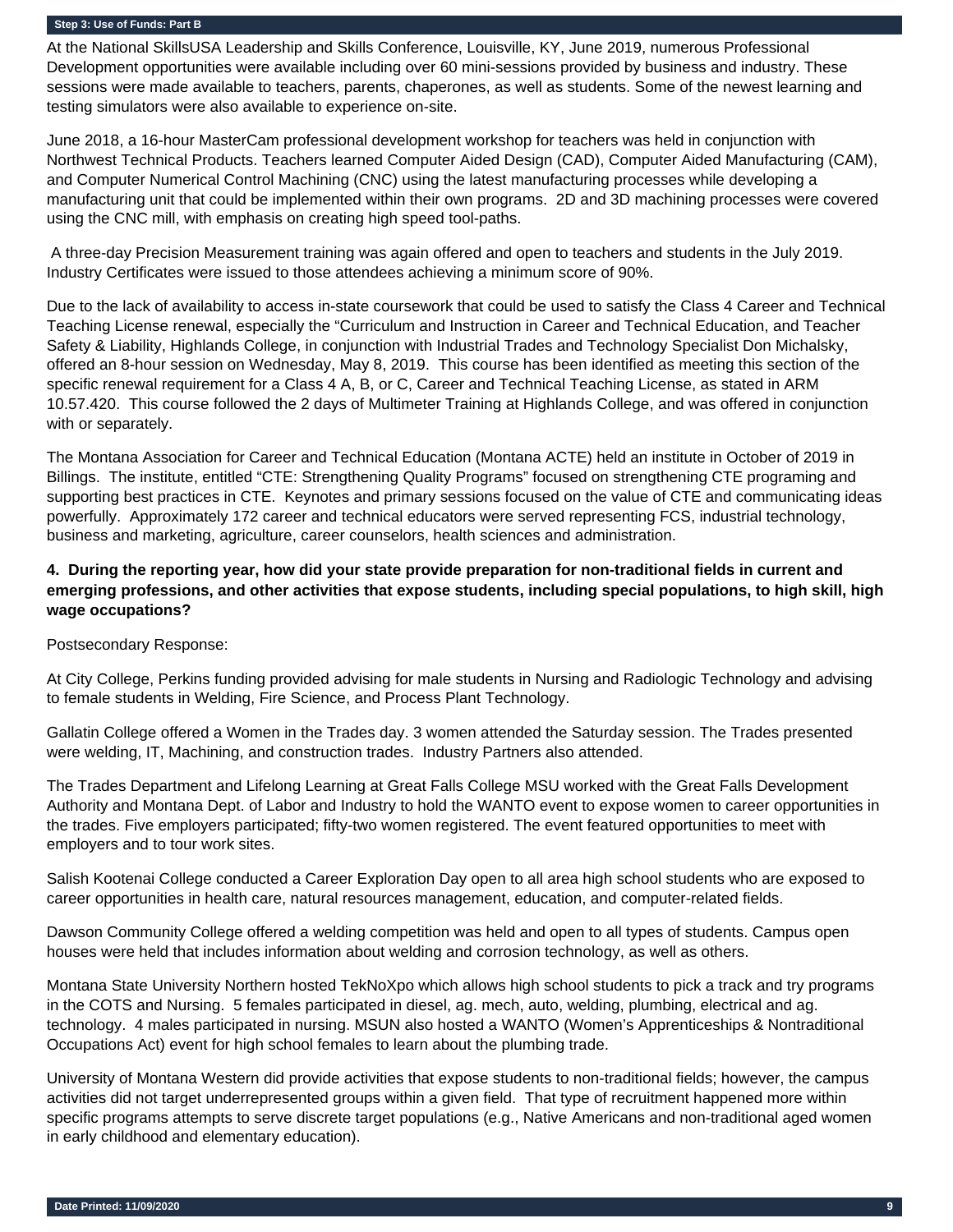At the National SkillsUSA Leadership and Skills Conference, Louisville, KY, June 2019, numerous Professional Development opportunities were available including over 60 mini-sessions provided by business and industry. These sessions were made available to teachers, parents, chaperones, as well as students. Some of the newest learning and testing simulators were also available to experience on-site.

June 2018, a 16-hour MasterCam professional development workshop for teachers was held in conjunction with Northwest Technical Products. Teachers learned Computer Aided Design (CAD), Computer Aided Manufacturing (CAM), and Computer Numerical Control Machining (CNC) using the latest manufacturing processes while developing a manufacturing unit that could be implemented within their own programs. 2D and 3D machining processes were covered using the CNC mill, with emphasis on creating high speed tool-paths.

 A three-day Precision Measurement training was again offered and open to teachers and students in the July 2019. Industry Certificates were issued to those attendees achieving a minimum score of 90%.

Due to the lack of availability to access in-state coursework that could be used to satisfy the Class 4 Career and Technical Teaching License renewal, especially the "Curriculum and Instruction in Career and Technical Education, and Teacher Safety & Liability, Highlands College, in conjunction with Industrial Trades and Technology Specialist Don Michalsky, offered an 8-hour session on Wednesday, May 8, 2019. This course has been identified as meeting this section of the specific renewal requirement for a Class 4 A, B, or C, Career and Technical Teaching License, as stated in ARM 10.57.420. This course followed the 2 days of Multimeter Training at Highlands College, and was offered in conjunction with or separately.

The Montana Association for Career and Technical Education (Montana ACTE) held an institute in October of 2019 in Billings. The institute, entitled "CTE: Strengthening Quality Programs" focused on strengthening CTE programing and supporting best practices in CTE. Keynotes and primary sessions focused on the value of CTE and communicating ideas powerfully. Approximately 172 career and technical educators were served representing FCS, industrial technology, business and marketing, agriculture, career counselors, health sciences and administration.

## **4. During the reporting year, how did your state provide preparation for non-traditional fields in current and emerging professions, and other activities that expose students, including special populations, to high skill, high wage occupations?**

Postsecondary Response:

At City College, Perkins funding provided advising for male students in Nursing and Radiologic Technology and advising to female students in Welding, Fire Science, and Process Plant Technology.

Gallatin College offered a Women in the Trades day. 3 women attended the Saturday session. The Trades presented were welding, IT, Machining, and construction trades. Industry Partners also attended.

The Trades Department and Lifelong Learning at Great Falls College MSU worked with the Great Falls Development Authority and Montana Dept. of Labor and Industry to hold the WANTO event to expose women to career opportunities in the trades. Five employers participated; fifty-two women registered. The event featured opportunities to meet with employers and to tour work sites.

Salish Kootenai College conducted a Career Exploration Day open to all area high school students who are exposed to career opportunities in health care, natural resources management, education, and computer-related fields.

Dawson Community College offered a welding competition was held and open to all types of students. Campus open houses were held that includes information about welding and corrosion technology, as well as others.

Montana State University Northern hosted TekNoXpo which allows high school students to pick a track and try programs in the COTS and Nursing. 5 females participated in diesel, ag. mech, auto, welding, plumbing, electrical and ag. technology. 4 males participated in nursing. MSUN also hosted a WANTO (Women's Apprenticeships & Nontraditional Occupations Act) event for high school females to learn about the plumbing trade.

University of Montana Western did provide activities that expose students to non-traditional fields; however, the campus activities did not target underrepresented groups within a given field. That type of recruitment happened more within specific programs attempts to serve discrete target populations (e.g., Native Americans and non-traditional aged women in early childhood and elementary education).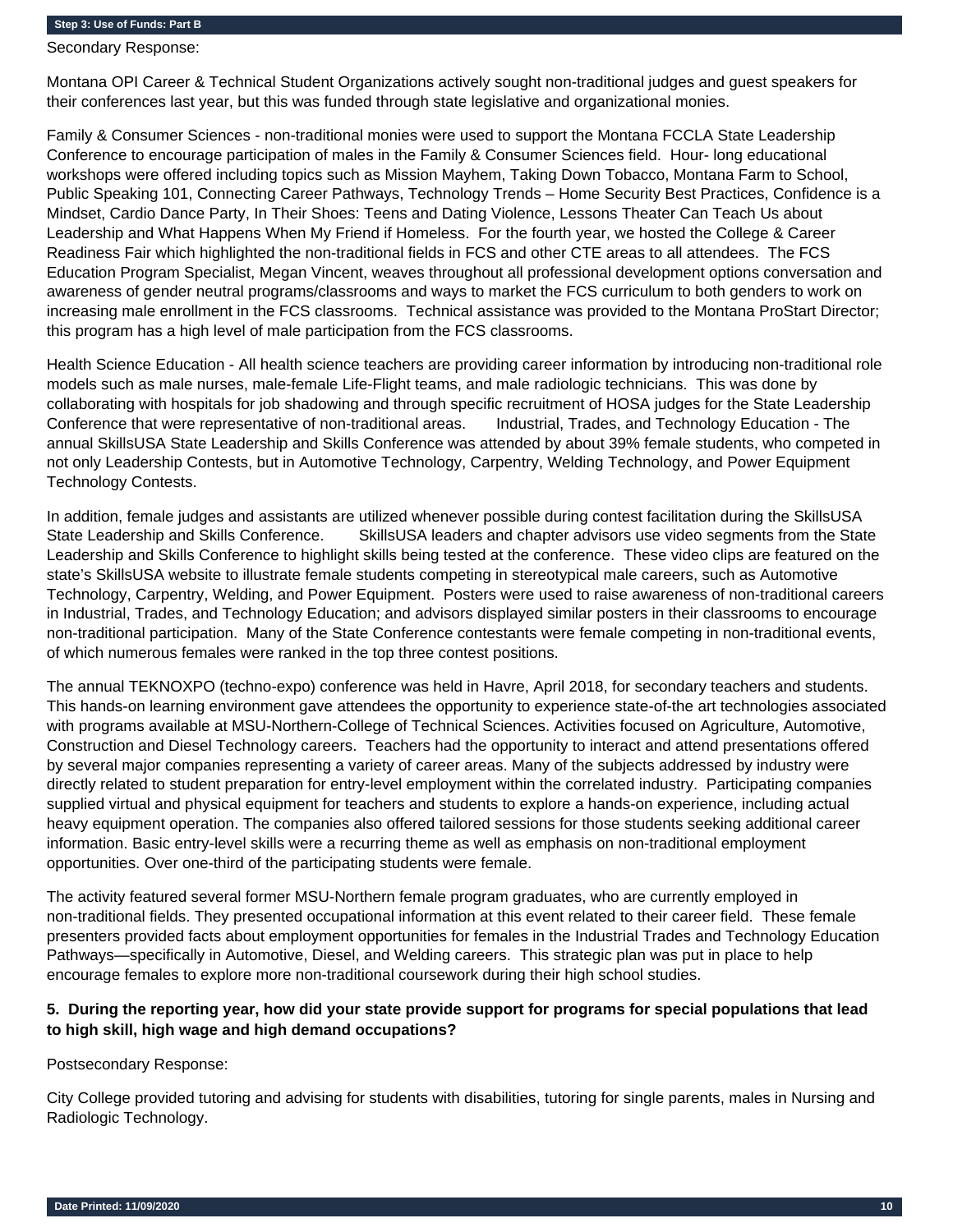Secondary Response:

Montana OPI Career & Technical Student Organizations actively sought non-traditional judges and guest speakers for their conferences last year, but this was funded through state legislative and organizational monies.

Family & Consumer Sciences - non-traditional monies were used to support the Montana FCCLA State Leadership Conference to encourage participation of males in the Family & Consumer Sciences field. Hour- long educational workshops were offered including topics such as Mission Mayhem, Taking Down Tobacco, Montana Farm to School, Public Speaking 101, Connecting Career Pathways, Technology Trends – Home Security Best Practices, Confidence is a Mindset, Cardio Dance Party, In Their Shoes: Teens and Dating Violence, Lessons Theater Can Teach Us about Leadership and What Happens When My Friend if Homeless. For the fourth year, we hosted the College & Career Readiness Fair which highlighted the non-traditional fields in FCS and other CTE areas to all attendees. The FCS Education Program Specialist, Megan Vincent, weaves throughout all professional development options conversation and awareness of gender neutral programs/classrooms and ways to market the FCS curriculum to both genders to work on increasing male enrollment in the FCS classrooms. Technical assistance was provided to the Montana ProStart Director; this program has a high level of male participation from the FCS classrooms.

Health Science Education - All health science teachers are providing career information by introducing non-traditional role models such as male nurses, male-female Life-Flight teams, and male radiologic technicians. This was done by collaborating with hospitals for job shadowing and through specific recruitment of HOSA judges for the State Leadership Conference that were representative of non-traditional areas. Industrial, Trades, and Technology Education - The annual SkillsUSA State Leadership and Skills Conference was attended by about 39% female students, who competed in not only Leadership Contests, but in Automotive Technology, Carpentry, Welding Technology, and Power Equipment Technology Contests.

In addition, female judges and assistants are utilized whenever possible during contest facilitation during the SkillsUSA State Leadership and Skills Conference. SkillsUSA leaders and chapter advisors use video segments from the State Leadership and Skills Conference to highlight skills being tested at the conference. These video clips are featured on the state's SkillsUSA website to illustrate female students competing in stereotypical male careers, such as Automotive Technology, Carpentry, Welding, and Power Equipment. Posters were used to raise awareness of non-traditional careers in Industrial, Trades, and Technology Education; and advisors displayed similar posters in their classrooms to encourage non-traditional participation. Many of the State Conference contestants were female competing in non-traditional events, of which numerous females were ranked in the top three contest positions.

The annual TEKNOXPO (techno-expo) conference was held in Havre, April 2018, for secondary teachers and students. This hands-on learning environment gave attendees the opportunity to experience state-of-the art technologies associated with programs available at MSU-Northern-College of Technical Sciences. Activities focused on Agriculture, Automotive, Construction and Diesel Technology careers. Teachers had the opportunity to interact and attend presentations offered by several major companies representing a variety of career areas. Many of the subjects addressed by industry were directly related to student preparation for entry-level employment within the correlated industry. Participating companies supplied virtual and physical equipment for teachers and students to explore a hands-on experience, including actual heavy equipment operation. The companies also offered tailored sessions for those students seeking additional career information. Basic entry-level skills were a recurring theme as well as emphasis on non-traditional employment opportunities. Over one-third of the participating students were female.

The activity featured several former MSU-Northern female program graduates, who are currently employed in non-traditional fields. They presented occupational information at this event related to their career field. These female presenters provided facts about employment opportunities for females in the Industrial Trades and Technology Education Pathways—specifically in Automotive, Diesel, and Welding careers. This strategic plan was put in place to help encourage females to explore more non-traditional coursework during their high school studies.

## **5. During the reporting year, how did your state provide support for programs for special populations that lead to high skill, high wage and high demand occupations?**

Postsecondary Response:

City College provided tutoring and advising for students with disabilities, tutoring for single parents, males in Nursing and Radiologic Technology.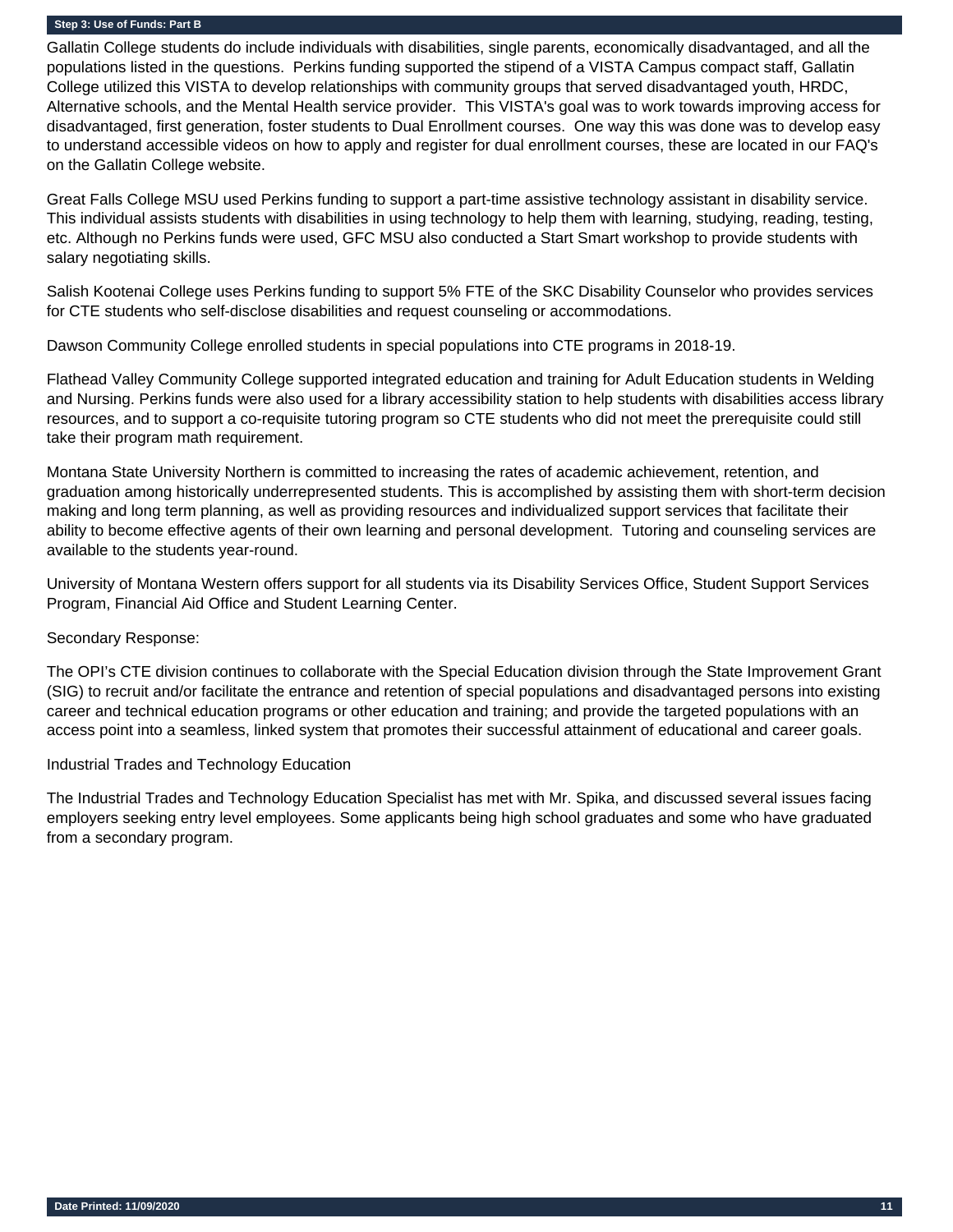Gallatin College students do include individuals with disabilities, single parents, economically disadvantaged, and all the populations listed in the questions. Perkins funding supported the stipend of a VISTA Campus compact staff, Gallatin College utilized this VISTA to develop relationships with community groups that served disadvantaged youth, HRDC, Alternative schools, and the Mental Health service provider. This VISTA's goal was to work towards improving access for disadvantaged, first generation, foster students to Dual Enrollment courses. One way this was done was to develop easy to understand accessible videos on how to apply and register for dual enrollment courses, these are located in our FAQ's on the Gallatin College website.

Great Falls College MSU used Perkins funding to support a part-time assistive technology assistant in disability service. This individual assists students with disabilities in using technology to help them with learning, studying, reading, testing, etc. Although no Perkins funds were used, GFC MSU also conducted a Start Smart workshop to provide students with salary negotiating skills.

Salish Kootenai College uses Perkins funding to support 5% FTE of the SKC Disability Counselor who provides services for CTE students who self-disclose disabilities and request counseling or accommodations.

Dawson Community College enrolled students in special populations into CTE programs in 2018-19.

Flathead Valley Community College supported integrated education and training for Adult Education students in Welding and Nursing. Perkins funds were also used for a library accessibility station to help students with disabilities access library resources, and to support a co-requisite tutoring program so CTE students who did not meet the prerequisite could still take their program math requirement.

Montana State University Northern is committed to increasing the rates of academic achievement, retention, and graduation among historically underrepresented students. This is accomplished by assisting them with short-term decision making and long term planning, as well as providing resources and individualized support services that facilitate their ability to become effective agents of their own learning and personal development. Tutoring and counseling services are available to the students year-round.

University of Montana Western offers support for all students via its Disability Services Office, Student Support Services Program, Financial Aid Office and Student Learning Center.

#### Secondary Response:

The OPI's CTE division continues to collaborate with the Special Education division through the State Improvement Grant (SIG) to recruit and/or facilitate the entrance and retention of special populations and disadvantaged persons into existing career and technical education programs or other education and training; and provide the targeted populations with an access point into a seamless, linked system that promotes their successful attainment of educational and career goals.

#### Industrial Trades and Technology Education

The Industrial Trades and Technology Education Specialist has met with Mr. Spika, and discussed several issues facing employers seeking entry level employees. Some applicants being high school graduates and some who have graduated from a secondary program.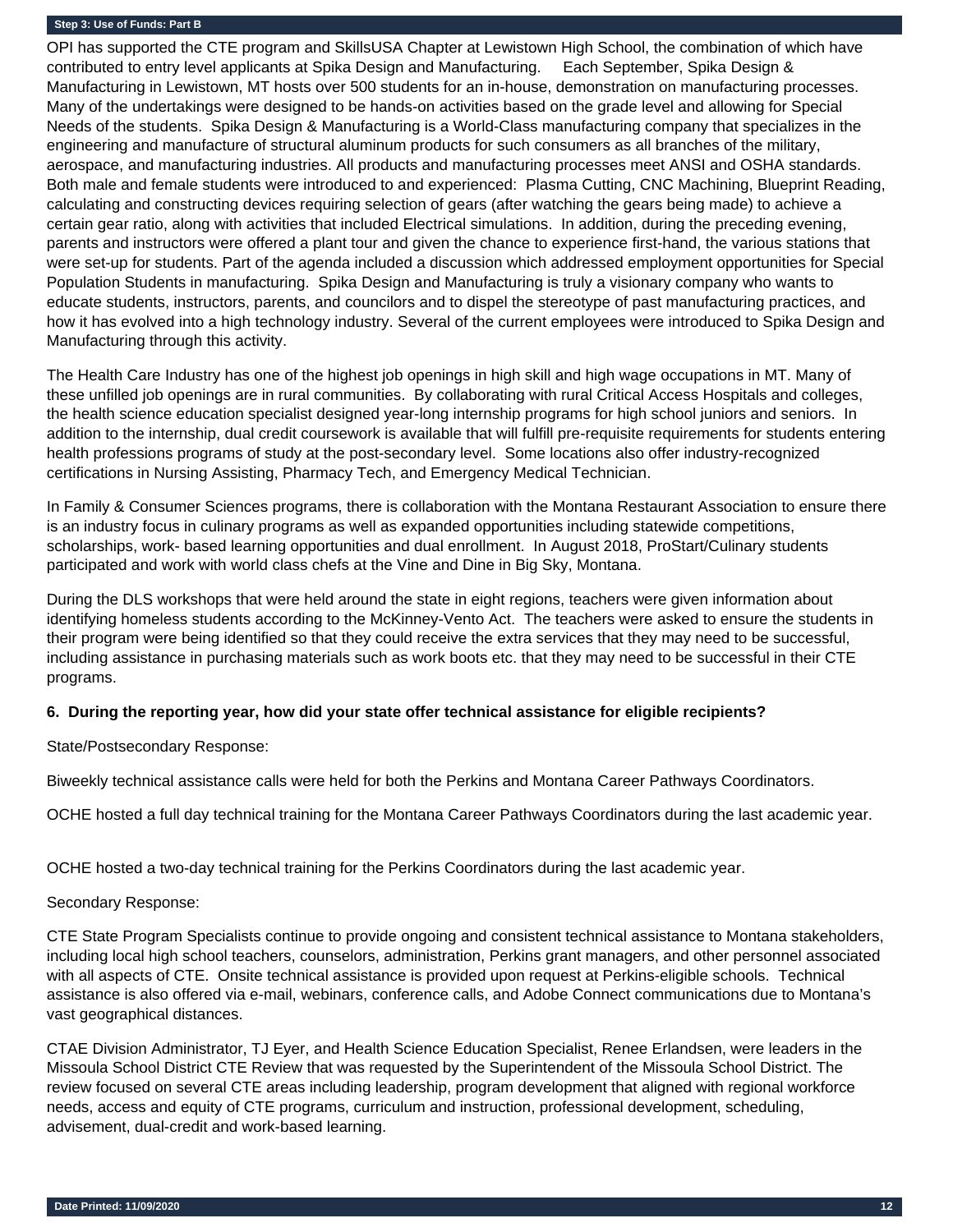OPI has supported the CTE program and SkillsUSA Chapter at Lewistown High School, the combination of which have contributed to entry level applicants at Spika Design and Manufacturing. Each September, Spika Design & Manufacturing in Lewistown, MT hosts over 500 students for an in-house, demonstration on manufacturing processes. Many of the undertakings were designed to be hands-on activities based on the grade level and allowing for Special Needs of the students. Spika Design & Manufacturing is a World-Class manufacturing company that specializes in the engineering and manufacture of structural aluminum products for such consumers as all branches of the military, aerospace, and manufacturing industries. All products and manufacturing processes meet ANSI and OSHA standards. Both male and female students were introduced to and experienced: Plasma Cutting, CNC Machining, Blueprint Reading, calculating and constructing devices requiring selection of gears (after watching the gears being made) to achieve a certain gear ratio, along with activities that included Electrical simulations. In addition, during the preceding evening, parents and instructors were offered a plant tour and given the chance to experience first-hand, the various stations that were set-up for students. Part of the agenda included a discussion which addressed employment opportunities for Special Population Students in manufacturing. Spika Design and Manufacturing is truly a visionary company who wants to educate students, instructors, parents, and councilors and to dispel the stereotype of past manufacturing practices, and how it has evolved into a high technology industry. Several of the current employees were introduced to Spika Design and Manufacturing through this activity.

The Health Care Industry has one of the highest job openings in high skill and high wage occupations in MT. Many of these unfilled job openings are in rural communities. By collaborating with rural Critical Access Hospitals and colleges, the health science education specialist designed year-long internship programs for high school juniors and seniors. In addition to the internship, dual credit coursework is available that will fulfill pre-requisite requirements for students entering health professions programs of study at the post-secondary level. Some locations also offer industry-recognized certifications in Nursing Assisting, Pharmacy Tech, and Emergency Medical Technician.

In Family & Consumer Sciences programs, there is collaboration with the Montana Restaurant Association to ensure there is an industry focus in culinary programs as well as expanded opportunities including statewide competitions, scholarships, work- based learning opportunities and dual enrollment. In August 2018, ProStart/Culinary students participated and work with world class chefs at the Vine and Dine in Big Sky, Montana.

During the DLS workshops that were held around the state in eight regions, teachers were given information about identifying homeless students according to the McKinney-Vento Act. The teachers were asked to ensure the students in their program were being identified so that they could receive the extra services that they may need to be successful, including assistance in purchasing materials such as work boots etc. that they may need to be successful in their CTE programs.

#### **6. During the reporting year, how did your state offer technical assistance for eligible recipients?**

State/Postsecondary Response:

Biweekly technical assistance calls were held for both the Perkins and Montana Career Pathways Coordinators.

OCHE hosted a full day technical training for the Montana Career Pathways Coordinators during the last academic year.

OCHE hosted a two-day technical training for the Perkins Coordinators during the last academic year.

Secondary Response:

CTE State Program Specialists continue to provide ongoing and consistent technical assistance to Montana stakeholders, including local high school teachers, counselors, administration, Perkins grant managers, and other personnel associated with all aspects of CTE. Onsite technical assistance is provided upon request at Perkins-eligible schools. Technical assistance is also offered via e-mail, webinars, conference calls, and Adobe Connect communications due to Montana's vast geographical distances.

CTAE Division Administrator, TJ Eyer, and Health Science Education Specialist, Renee Erlandsen, were leaders in the Missoula School District CTE Review that was requested by the Superintendent of the Missoula School District. The review focused on several CTE areas including leadership, program development that aligned with regional workforce needs, access and equity of CTE programs, curriculum and instruction, professional development, scheduling, advisement, dual-credit and work-based learning.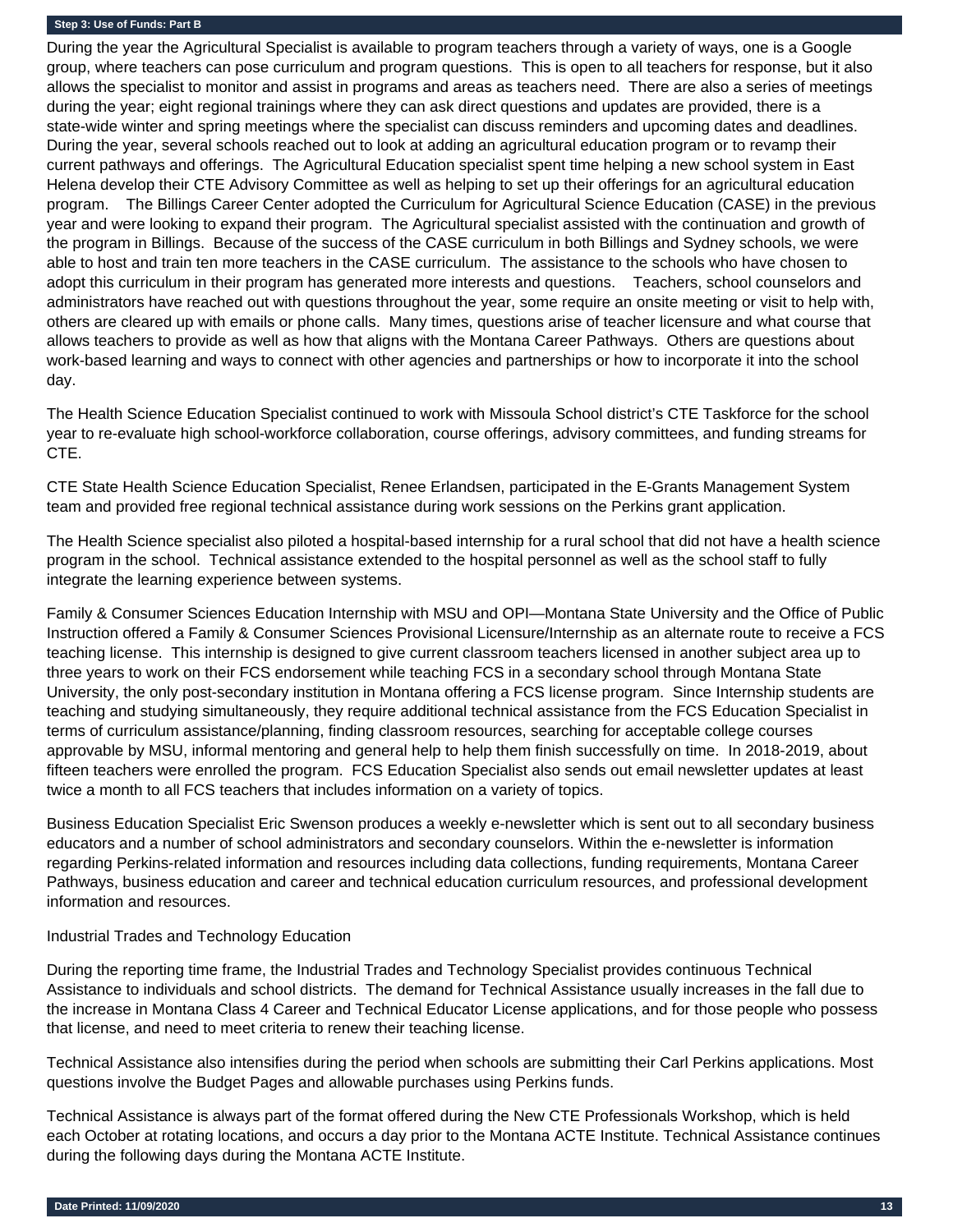During the year the Agricultural Specialist is available to program teachers through a variety of ways, one is a Google group, where teachers can pose curriculum and program questions. This is open to all teachers for response, but it also allows the specialist to monitor and assist in programs and areas as teachers need. There are also a series of meetings during the year; eight regional trainings where they can ask direct questions and updates are provided, there is a state-wide winter and spring meetings where the specialist can discuss reminders and upcoming dates and deadlines. During the year, several schools reached out to look at adding an agricultural education program or to revamp their current pathways and offerings. The Agricultural Education specialist spent time helping a new school system in East Helena develop their CTE Advisory Committee as well as helping to set up their offerings for an agricultural education program. The Billings Career Center adopted the Curriculum for Agricultural Science Education (CASE) in the previous year and were looking to expand their program. The Agricultural specialist assisted with the continuation and growth of the program in Billings. Because of the success of the CASE curriculum in both Billings and Sydney schools, we were able to host and train ten more teachers in the CASE curriculum. The assistance to the schools who have chosen to adopt this curriculum in their program has generated more interests and questions. Teachers, school counselors and administrators have reached out with questions throughout the year, some require an onsite meeting or visit to help with, others are cleared up with emails or phone calls. Many times, questions arise of teacher licensure and what course that allows teachers to provide as well as how that aligns with the Montana Career Pathways. Others are questions about work-based learning and ways to connect with other agencies and partnerships or how to incorporate it into the school day.

The Health Science Education Specialist continued to work with Missoula School district's CTE Taskforce for the school year to re-evaluate high school-workforce collaboration, course offerings, advisory committees, and funding streams for CTE.

CTE State Health Science Education Specialist, Renee Erlandsen, participated in the E-Grants Management System team and provided free regional technical assistance during work sessions on the Perkins grant application.

The Health Science specialist also piloted a hospital-based internship for a rural school that did not have a health science program in the school. Technical assistance extended to the hospital personnel as well as the school staff to fully integrate the learning experience between systems.

Family & Consumer Sciences Education Internship with MSU and OPI—Montana State University and the Office of Public Instruction offered a Family & Consumer Sciences Provisional Licensure/Internship as an alternate route to receive a FCS teaching license. This internship is designed to give current classroom teachers licensed in another subject area up to three years to work on their FCS endorsement while teaching FCS in a secondary school through Montana State University, the only post-secondary institution in Montana offering a FCS license program. Since Internship students are teaching and studying simultaneously, they require additional technical assistance from the FCS Education Specialist in terms of curriculum assistance/planning, finding classroom resources, searching for acceptable college courses approvable by MSU, informal mentoring and general help to help them finish successfully on time. In 2018-2019, about fifteen teachers were enrolled the program. FCS Education Specialist also sends out email newsletter updates at least twice a month to all FCS teachers that includes information on a variety of topics.

Business Education Specialist Eric Swenson produces a weekly e-newsletter which is sent out to all secondary business educators and a number of school administrators and secondary counselors. Within the e-newsletter is information regarding Perkins-related information and resources including data collections, funding requirements, Montana Career Pathways, business education and career and technical education curriculum resources, and professional development information and resources.

#### Industrial Trades and Technology Education

During the reporting time frame, the Industrial Trades and Technology Specialist provides continuous Technical Assistance to individuals and school districts. The demand for Technical Assistance usually increases in the fall due to the increase in Montana Class 4 Career and Technical Educator License applications, and for those people who possess that license, and need to meet criteria to renew their teaching license.

Technical Assistance also intensifies during the period when schools are submitting their Carl Perkins applications. Most questions involve the Budget Pages and allowable purchases using Perkins funds.

Technical Assistance is always part of the format offered during the New CTE Professionals Workshop, which is held each October at rotating locations, and occurs a day prior to the Montana ACTE Institute. Technical Assistance continues during the following days during the Montana ACTE Institute.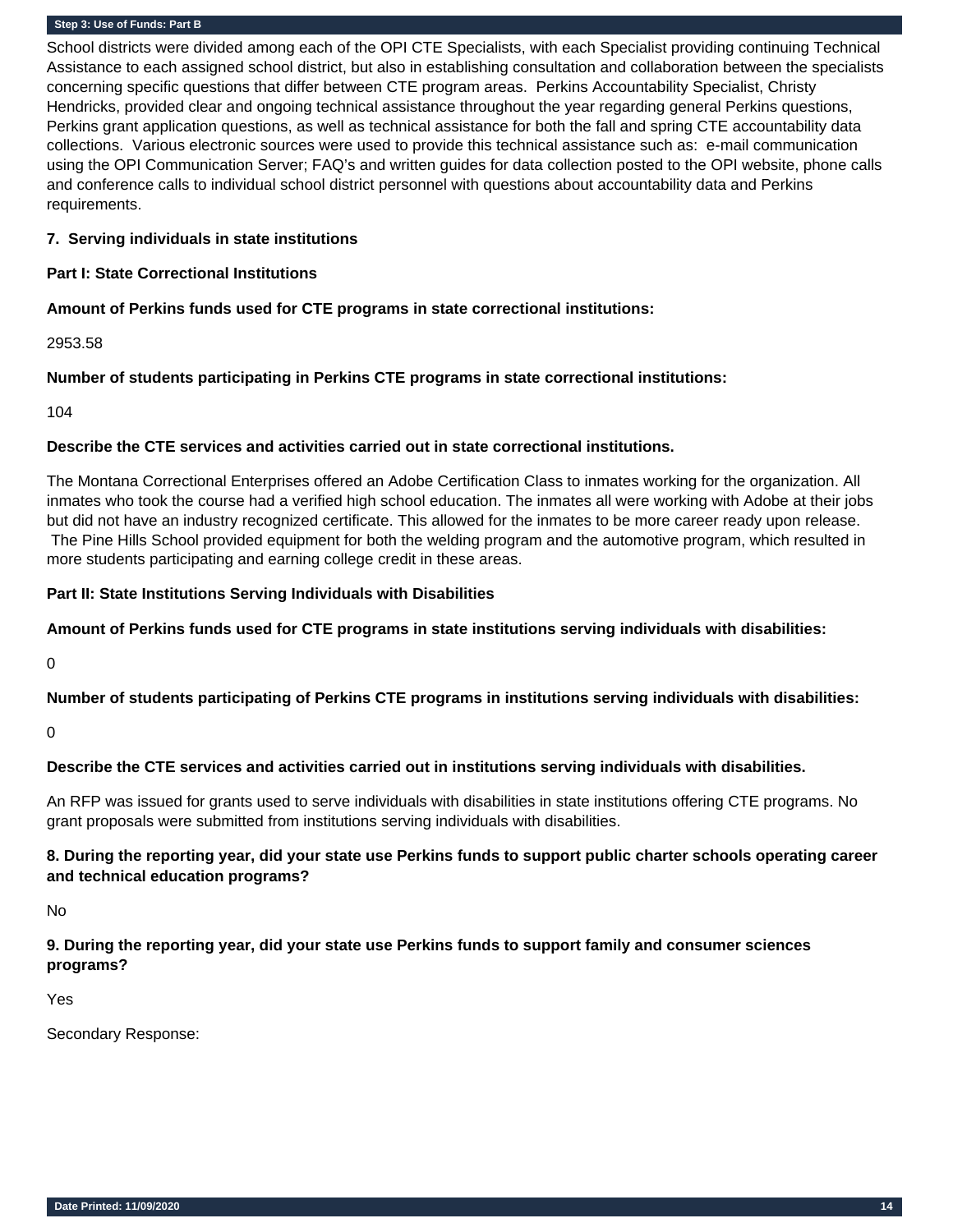School districts were divided among each of the OPI CTE Specialists, with each Specialist providing continuing Technical Assistance to each assigned school district, but also in establishing consultation and collaboration between the specialists concerning specific questions that differ between CTE program areas. Perkins Accountability Specialist, Christy Hendricks, provided clear and ongoing technical assistance throughout the year regarding general Perkins questions, Perkins grant application questions, as well as technical assistance for both the fall and spring CTE accountability data collections. Various electronic sources were used to provide this technical assistance such as: e-mail communication using the OPI Communication Server; FAQ's and written guides for data collection posted to the OPI website, phone calls and conference calls to individual school district personnel with questions about accountability data and Perkins requirements.

#### **7. Serving individuals in state institutions**

## **Part I: State Correctional Institutions**

## **Amount of Perkins funds used for CTE programs in state correctional institutions:**

2953.58

## **Number of students participating in Perkins CTE programs in state correctional institutions:**

104

## **Describe the CTE services and activities carried out in state correctional institutions.**

The Montana Correctional Enterprises offered an Adobe Certification Class to inmates working for the organization. All inmates who took the course had a verified high school education. The inmates all were working with Adobe at their jobs but did not have an industry recognized certificate. This allowed for the inmates to be more career ready upon release. The Pine Hills School provided equipment for both the welding program and the automotive program, which resulted in more students participating and earning college credit in these areas.

## **Part II: State Institutions Serving Individuals with Disabilities**

#### **Amount of Perkins funds used for CTE programs in state institutions serving individuals with disabilities:**

0

**Number of students participating of Perkins CTE programs in institutions serving individuals with disabilities:**

0

## **Describe the CTE services and activities carried out in institutions serving individuals with disabilities.**

An RFP was issued for grants used to serve individuals with disabilities in state institutions offering CTE programs. No grant proposals were submitted from institutions serving individuals with disabilities.

## **8. During the reporting year, did your state use Perkins funds to support public charter schools operating career and technical education programs?**

No

## **9. During the reporting year, did your state use Perkins funds to support family and consumer sciences programs?**

Yes

Secondary Response: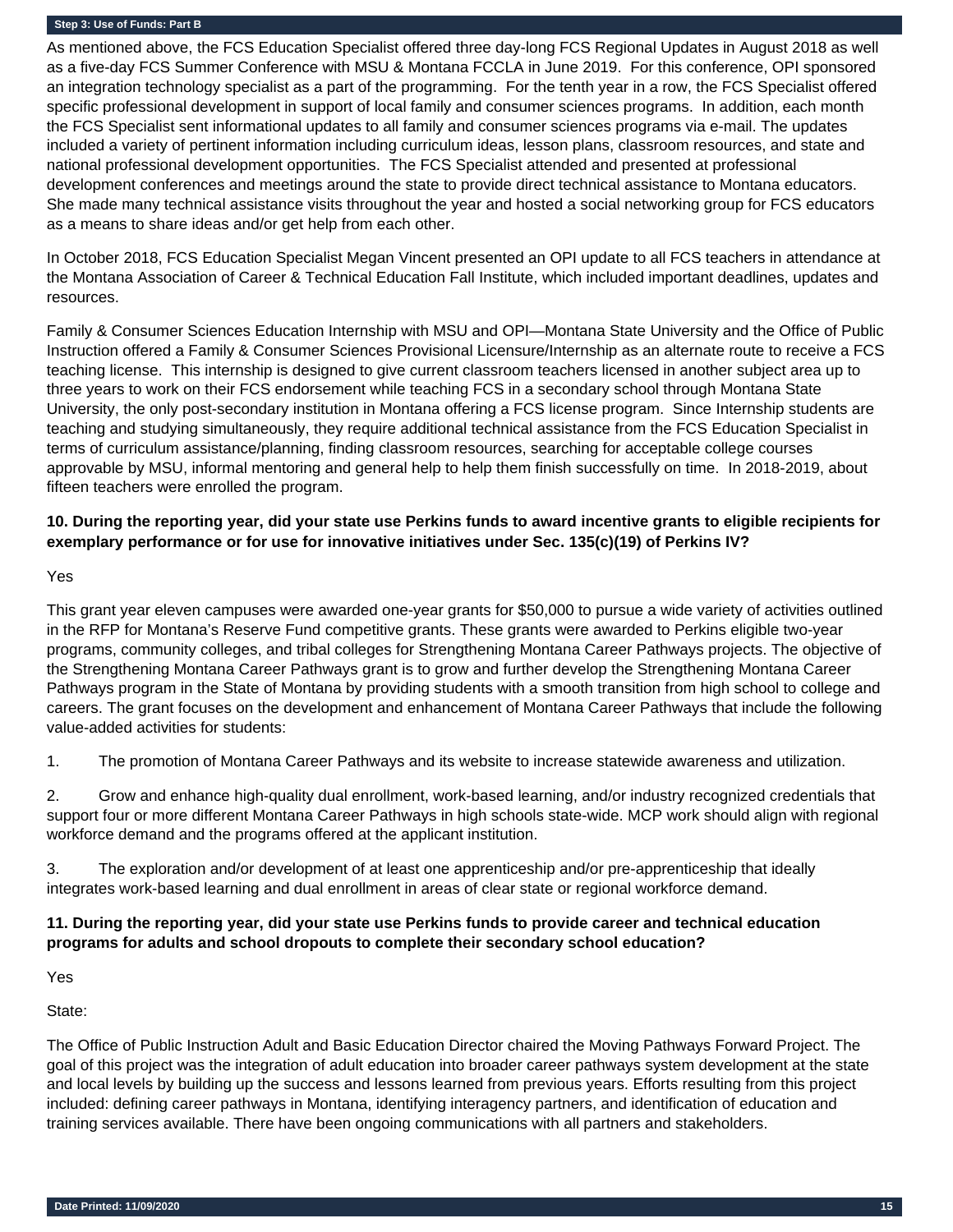As mentioned above, the FCS Education Specialist offered three day-long FCS Regional Updates in August 2018 as well as a five-day FCS Summer Conference with MSU & Montana FCCLA in June 2019. For this conference, OPI sponsored an integration technology specialist as a part of the programming. For the tenth year in a row, the FCS Specialist offered specific professional development in support of local family and consumer sciences programs. In addition, each month the FCS Specialist sent informational updates to all family and consumer sciences programs via e-mail. The updates included a variety of pertinent information including curriculum ideas, lesson plans, classroom resources, and state and national professional development opportunities. The FCS Specialist attended and presented at professional development conferences and meetings around the state to provide direct technical assistance to Montana educators. She made many technical assistance visits throughout the year and hosted a social networking group for FCS educators as a means to share ideas and/or get help from each other.

In October 2018, FCS Education Specialist Megan Vincent presented an OPI update to all FCS teachers in attendance at the Montana Association of Career & Technical Education Fall Institute, which included important deadlines, updates and resources.

Family & Consumer Sciences Education Internship with MSU and OPI—Montana State University and the Office of Public Instruction offered a Family & Consumer Sciences Provisional Licensure/Internship as an alternate route to receive a FCS teaching license. This internship is designed to give current classroom teachers licensed in another subject area up to three years to work on their FCS endorsement while teaching FCS in a secondary school through Montana State University, the only post-secondary institution in Montana offering a FCS license program. Since Internship students are teaching and studying simultaneously, they require additional technical assistance from the FCS Education Specialist in terms of curriculum assistance/planning, finding classroom resources, searching for acceptable college courses approvable by MSU, informal mentoring and general help to help them finish successfully on time. In 2018-2019, about fifteen teachers were enrolled the program.

## **10. During the reporting year, did your state use Perkins funds to award incentive grants to eligible recipients for exemplary performance or for use for innovative initiatives under Sec. 135(c)(19) of Perkins IV?**

Yes

This grant year eleven campuses were awarded one-year grants for \$50,000 to pursue a wide variety of activities outlined in the RFP for Montana's Reserve Fund competitive grants. These grants were awarded to Perkins eligible two-year programs, community colleges, and tribal colleges for Strengthening Montana Career Pathways projects. The objective of the Strengthening Montana Career Pathways grant is to grow and further develop the Strengthening Montana Career Pathways program in the State of Montana by providing students with a smooth transition from high school to college and careers. The grant focuses on the development and enhancement of Montana Career Pathways that include the following value-added activities for students:

1. The promotion of Montana Career Pathways and its website to increase statewide awareness and utilization.

2. Grow and enhance high-quality dual enrollment, work-based learning, and/or industry recognized credentials that support four or more different Montana Career Pathways in high schools state-wide. MCP work should align with regional workforce demand and the programs offered at the applicant institution.

3. The exploration and/or development of at least one apprenticeship and/or pre-apprenticeship that ideally integrates work-based learning and dual enrollment in areas of clear state or regional workforce demand.

## **11. During the reporting year, did your state use Perkins funds to provide career and technical education programs for adults and school dropouts to complete their secondary school education?**

Yes

State:

The Office of Public Instruction Adult and Basic Education Director chaired the Moving Pathways Forward Project. The goal of this project was the integration of adult education into broader career pathways system development at the state and local levels by building up the success and lessons learned from previous years. Efforts resulting from this project included: defining career pathways in Montana, identifying interagency partners, and identification of education and training services available. There have been ongoing communications with all partners and stakeholders.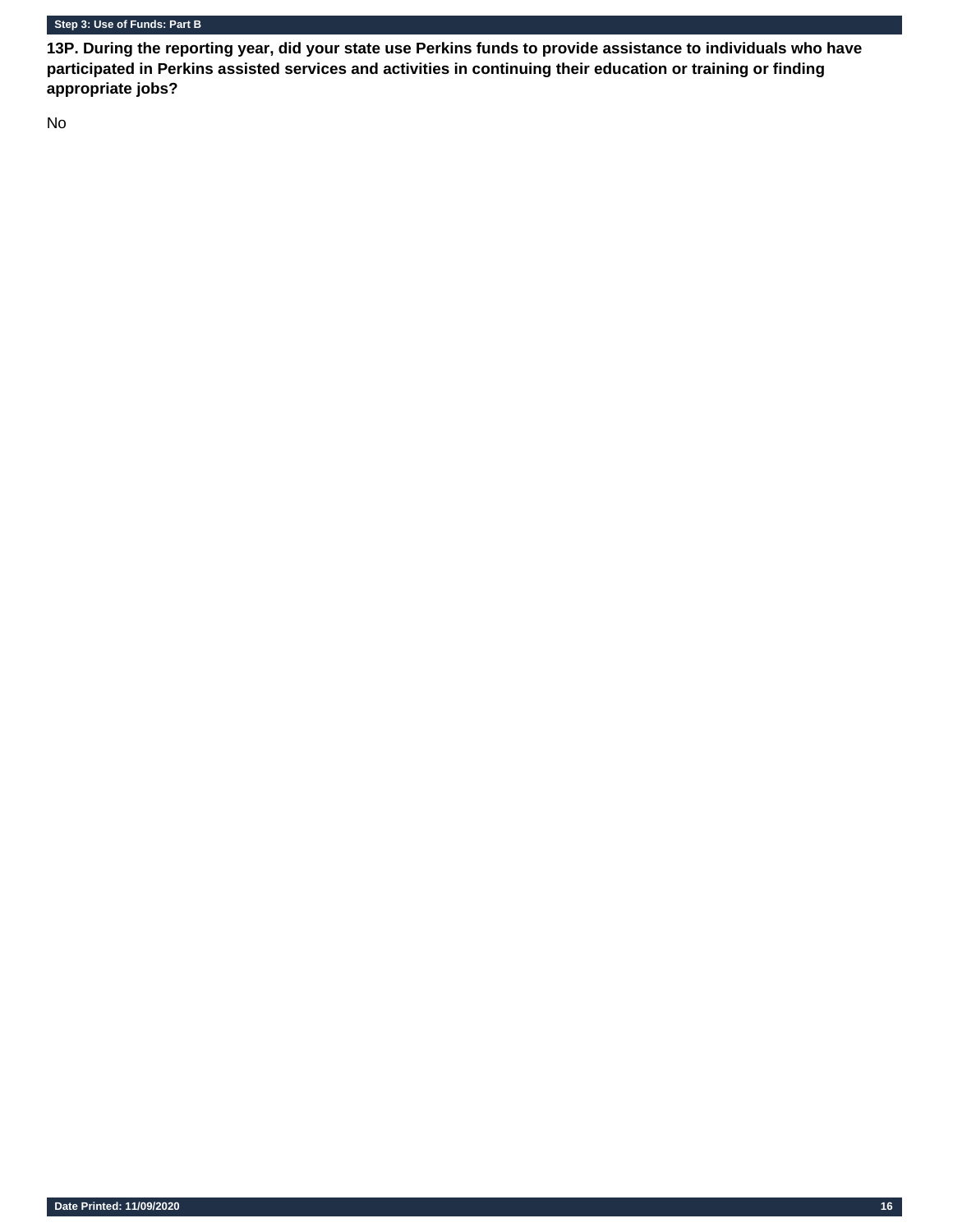**13P. During the reporting year, did your state use Perkins funds to provide assistance to individuals who have participated in Perkins assisted services and activities in continuing their education or training or finding appropriate jobs?** 

No